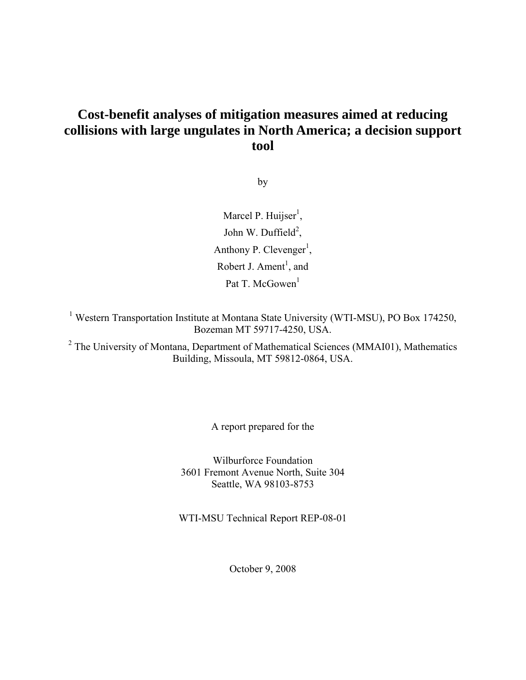## **Cost-benefit analyses of mitigation measures aimed at reducing collisions with large ungulates in North America; a decision support tool**

by

Marcel P. Huijser<sup>1</sup>, John W. Duffield<sup>2</sup>, Anthony P. Clevenger<sup>1</sup>, Robert J. Ament<sup>1</sup>, and Pat T. McGowen<sup>1</sup>

<sup>1</sup> Western Transportation Institute at Montana State University (WTI-MSU), PO Box 174250, Bozeman MT 59717-4250, USA.

<sup>2</sup> The University of Montana, Department of Mathematical Sciences (MMAI01), Mathematics Building, Missoula, MT 59812-0864, USA.

A report prepared for the

Wilburforce Foundation 3601 Fremont Avenue North, Suite 304 Seattle, WA 98103-8753

WTI-MSU Technical Report REP-08-01

October 9, 2008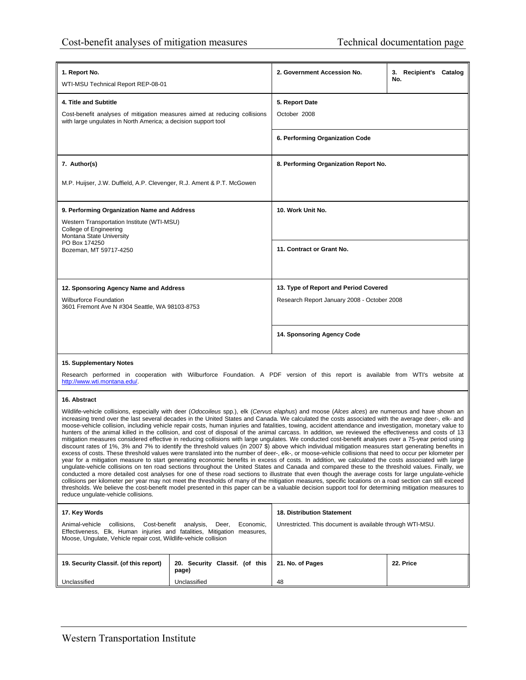| 1. Report No.<br>WTI-MSU Technical Report REP-08-01                                                                                                                                                                                                                                                                                                                                                                                                                                                                                                                                                                                                                                                                                                                                                                                                                                                                                                                                                                                                                                                                                                                                                                                                                                                                                                                                                                                                                                                                                                                                                                                                                                                                                                                                                                                                                                                                                 |                                              | 2. Government Accession No.                                                                                                    | 3. Recipient's Catalog<br>No. |  |  |
|-------------------------------------------------------------------------------------------------------------------------------------------------------------------------------------------------------------------------------------------------------------------------------------------------------------------------------------------------------------------------------------------------------------------------------------------------------------------------------------------------------------------------------------------------------------------------------------------------------------------------------------------------------------------------------------------------------------------------------------------------------------------------------------------------------------------------------------------------------------------------------------------------------------------------------------------------------------------------------------------------------------------------------------------------------------------------------------------------------------------------------------------------------------------------------------------------------------------------------------------------------------------------------------------------------------------------------------------------------------------------------------------------------------------------------------------------------------------------------------------------------------------------------------------------------------------------------------------------------------------------------------------------------------------------------------------------------------------------------------------------------------------------------------------------------------------------------------------------------------------------------------------------------------------------------------|----------------------------------------------|--------------------------------------------------------------------------------------------------------------------------------|-------------------------------|--|--|
| 4. Title and Subtitle<br>5. Report Date<br>Cost-benefit analyses of mitigation measures aimed at reducing collisions<br>October 2008<br>with large ungulates in North America; a decision support tool                                                                                                                                                                                                                                                                                                                                                                                                                                                                                                                                                                                                                                                                                                                                                                                                                                                                                                                                                                                                                                                                                                                                                                                                                                                                                                                                                                                                                                                                                                                                                                                                                                                                                                                              |                                              |                                                                                                                                |                               |  |  |
|                                                                                                                                                                                                                                                                                                                                                                                                                                                                                                                                                                                                                                                                                                                                                                                                                                                                                                                                                                                                                                                                                                                                                                                                                                                                                                                                                                                                                                                                                                                                                                                                                                                                                                                                                                                                                                                                                                                                     |                                              | 6. Performing Organization Code                                                                                                |                               |  |  |
| 7. Author(s)                                                                                                                                                                                                                                                                                                                                                                                                                                                                                                                                                                                                                                                                                                                                                                                                                                                                                                                                                                                                                                                                                                                                                                                                                                                                                                                                                                                                                                                                                                                                                                                                                                                                                                                                                                                                                                                                                                                        |                                              | 8. Performing Organization Report No.                                                                                          |                               |  |  |
| M.P. Huijser, J.W. Duffield, A.P. Clevenger, R.J. Ament & P.T. McGowen                                                                                                                                                                                                                                                                                                                                                                                                                                                                                                                                                                                                                                                                                                                                                                                                                                                                                                                                                                                                                                                                                                                                                                                                                                                                                                                                                                                                                                                                                                                                                                                                                                                                                                                                                                                                                                                              |                                              |                                                                                                                                |                               |  |  |
| 9. Performing Organization Name and Address                                                                                                                                                                                                                                                                                                                                                                                                                                                                                                                                                                                                                                                                                                                                                                                                                                                                                                                                                                                                                                                                                                                                                                                                                                                                                                                                                                                                                                                                                                                                                                                                                                                                                                                                                                                                                                                                                         |                                              | 10. Work Unit No.                                                                                                              |                               |  |  |
| Western Transportation Institute (WTI-MSU)<br>College of Engineering<br>Montana State University                                                                                                                                                                                                                                                                                                                                                                                                                                                                                                                                                                                                                                                                                                                                                                                                                                                                                                                                                                                                                                                                                                                                                                                                                                                                                                                                                                                                                                                                                                                                                                                                                                                                                                                                                                                                                                    |                                              |                                                                                                                                |                               |  |  |
| PO Box 174250<br>Bozeman, MT 59717-4250                                                                                                                                                                                                                                                                                                                                                                                                                                                                                                                                                                                                                                                                                                                                                                                                                                                                                                                                                                                                                                                                                                                                                                                                                                                                                                                                                                                                                                                                                                                                                                                                                                                                                                                                                                                                                                                                                             |                                              | 11. Contract or Grant No.                                                                                                      |                               |  |  |
|                                                                                                                                                                                                                                                                                                                                                                                                                                                                                                                                                                                                                                                                                                                                                                                                                                                                                                                                                                                                                                                                                                                                                                                                                                                                                                                                                                                                                                                                                                                                                                                                                                                                                                                                                                                                                                                                                                                                     |                                              |                                                                                                                                |                               |  |  |
| 12. Sponsoring Agency Name and Address                                                                                                                                                                                                                                                                                                                                                                                                                                                                                                                                                                                                                                                                                                                                                                                                                                                                                                                                                                                                                                                                                                                                                                                                                                                                                                                                                                                                                                                                                                                                                                                                                                                                                                                                                                                                                                                                                              |                                              | 13. Type of Report and Period Covered                                                                                          |                               |  |  |
| <b>Wilburforce Foundation</b><br>3601 Fremont Ave N #304 Seattle, WA 98103-8753                                                                                                                                                                                                                                                                                                                                                                                                                                                                                                                                                                                                                                                                                                                                                                                                                                                                                                                                                                                                                                                                                                                                                                                                                                                                                                                                                                                                                                                                                                                                                                                                                                                                                                                                                                                                                                                     |                                              | Research Report January 2008 - October 2008                                                                                    |                               |  |  |
|                                                                                                                                                                                                                                                                                                                                                                                                                                                                                                                                                                                                                                                                                                                                                                                                                                                                                                                                                                                                                                                                                                                                                                                                                                                                                                                                                                                                                                                                                                                                                                                                                                                                                                                                                                                                                                                                                                                                     |                                              | 14. Sponsoring Agency Code                                                                                                     |                               |  |  |
| 15. Supplementary Notes                                                                                                                                                                                                                                                                                                                                                                                                                                                                                                                                                                                                                                                                                                                                                                                                                                                                                                                                                                                                                                                                                                                                                                                                                                                                                                                                                                                                                                                                                                                                                                                                                                                                                                                                                                                                                                                                                                             |                                              |                                                                                                                                |                               |  |  |
| http://www.wti.montana.edu/.                                                                                                                                                                                                                                                                                                                                                                                                                                                                                                                                                                                                                                                                                                                                                                                                                                                                                                                                                                                                                                                                                                                                                                                                                                                                                                                                                                                                                                                                                                                                                                                                                                                                                                                                                                                                                                                                                                        |                                              | Research performed in cooperation with Wilburforce Foundation. A PDF version of this report is available from WTI's website at |                               |  |  |
| 16. Abstract                                                                                                                                                                                                                                                                                                                                                                                                                                                                                                                                                                                                                                                                                                                                                                                                                                                                                                                                                                                                                                                                                                                                                                                                                                                                                                                                                                                                                                                                                                                                                                                                                                                                                                                                                                                                                                                                                                                        |                                              |                                                                                                                                |                               |  |  |
| Wildlife-vehicle collisions, especially with deer (Odocoileus spp.), elk (Cervus elaphus) and moose (Alces alces) are numerous and have shown an<br>increasing trend over the last several decades in the United States and Canada. We calculated the costs associated with the average deer-, elk- and<br>moose-vehicle collision, including vehicle repair costs, human injuries and fatalities, towing, accident attendance and investigation, monetary value to<br>hunters of the animal killed in the collision, and cost of disposal of the animal carcass. In addition, we reviewed the effectiveness and costs of 13<br>mitigation measures considered effective in reducing collisions with large ungulates. We conducted cost-benefit analyses over a 75-year period using<br>discount rates of 1%, 3% and 7% to identify the threshold values (in 2007 \$) above which individual mitigation measures start generating benefits in<br>excess of costs. These threshold values were translated into the number of deer-, elk-, or moose-vehicle collisions that need to occur per kilometer per<br>year for a mitigation measure to start generating economic benefits in excess of costs. In addition, we calculated the costs associated with large<br>ungulate-vehicle collisions on ten road sections throughout the United States and Canada and compared these to the threshold values. Finally, we<br>conducted a more detailed cost analyses for one of these road sections to illustrate that even though the average costs for large ungulate-vehicle<br>collisions per kilometer per year may not meet the thresholds of many of the mitigation measures, specific locations on a road section can still exceed<br>thresholds. We believe the cost-benefit model presented in this paper can be a valuable decision support tool for determining mitigation measures to<br>reduce ungulate-vehicle collisions. |                                              |                                                                                                                                |                               |  |  |
| 17. Key Words                                                                                                                                                                                                                                                                                                                                                                                                                                                                                                                                                                                                                                                                                                                                                                                                                                                                                                                                                                                                                                                                                                                                                                                                                                                                                                                                                                                                                                                                                                                                                                                                                                                                                                                                                                                                                                                                                                                       |                                              | <b>18. Distribution Statement</b>                                                                                              |                               |  |  |
| Animal-vehicle<br>collisions,<br>Effectiveness, Elk, Human injuries and fatalities, Mitigation measures,<br>Moose, Ungulate, Vehicle repair cost, Wildlife-vehicle collision                                                                                                                                                                                                                                                                                                                                                                                                                                                                                                                                                                                                                                                                                                                                                                                                                                                                                                                                                                                                                                                                                                                                                                                                                                                                                                                                                                                                                                                                                                                                                                                                                                                                                                                                                        | Cost-benefit analysis,<br>Deer,<br>Economic, | Unrestricted. This document is available through WTI-MSU.                                                                      |                               |  |  |
| 19. Security Classif. (of this report)                                                                                                                                                                                                                                                                                                                                                                                                                                                                                                                                                                                                                                                                                                                                                                                                                                                                                                                                                                                                                                                                                                                                                                                                                                                                                                                                                                                                                                                                                                                                                                                                                                                                                                                                                                                                                                                                                              | 20. Security Classif. (of this<br>page)      | 21. No. of Pages                                                                                                               | 22. Price                     |  |  |
| Unclassified                                                                                                                                                                                                                                                                                                                                                                                                                                                                                                                                                                                                                                                                                                                                                                                                                                                                                                                                                                                                                                                                                                                                                                                                                                                                                                                                                                                                                                                                                                                                                                                                                                                                                                                                                                                                                                                                                                                        | Unclassified                                 | 48                                                                                                                             |                               |  |  |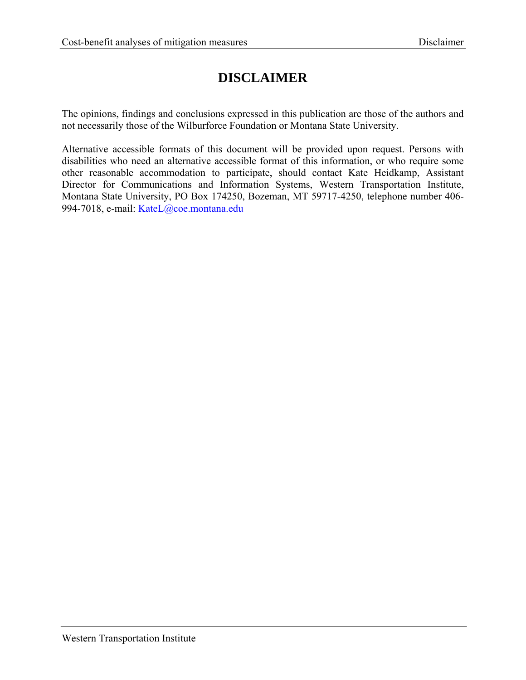# **DISCLAIMER**

The opinions, findings and conclusions expressed in this publication are those of the authors and not necessarily those of the Wilburforce Foundation or Montana State University.

Alternative accessible formats of this document will be provided upon request. Persons with disabilities who need an alternative accessible format of this information, or who require some other reasonable accommodation to participate, should contact Kate Heidkamp, Assistant Director for Communications and Information Systems, Western Transportation Institute, Montana State University, PO Box 174250, Bozeman, MT 59717-4250, telephone number 406- 994-7018, e-mail: KateL@coe.montana.edu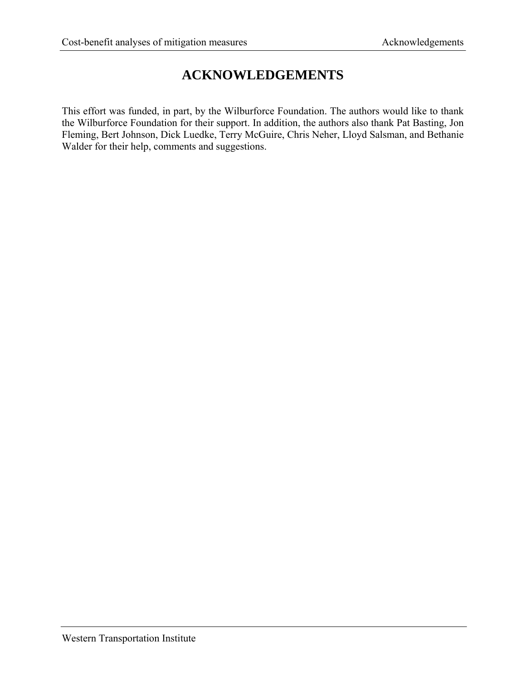# **ACKNOWLEDGEMENTS**

This effort was funded, in part, by the Wilburforce Foundation. The authors would like to thank the Wilburforce Foundation for their support. In addition, the authors also thank Pat Basting, Jon Fleming, Bert Johnson, Dick Luedke, Terry McGuire, Chris Neher, Lloyd Salsman, and Bethanie Walder for their help, comments and suggestions.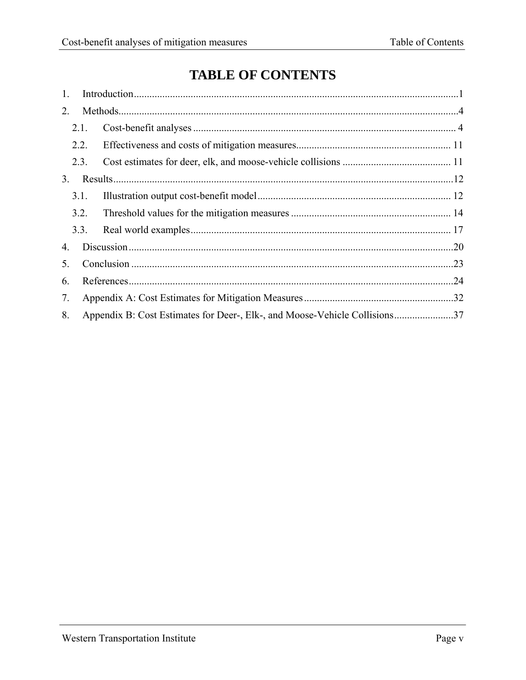# **TABLE OF CONTENTS**

| 1. |      |                                                                            |  |
|----|------|----------------------------------------------------------------------------|--|
| 2. |      |                                                                            |  |
|    | 2.1. |                                                                            |  |
|    | 2.2. |                                                                            |  |
|    | 2.3. |                                                                            |  |
| 3. |      |                                                                            |  |
|    | 3.1. |                                                                            |  |
|    | 3.2. |                                                                            |  |
|    | 3.3. |                                                                            |  |
| 4. |      |                                                                            |  |
| 5. |      |                                                                            |  |
| 6. |      |                                                                            |  |
| 7. |      |                                                                            |  |
| 8. |      | Appendix B: Cost Estimates for Deer-, Elk-, and Moose-Vehicle Collisions37 |  |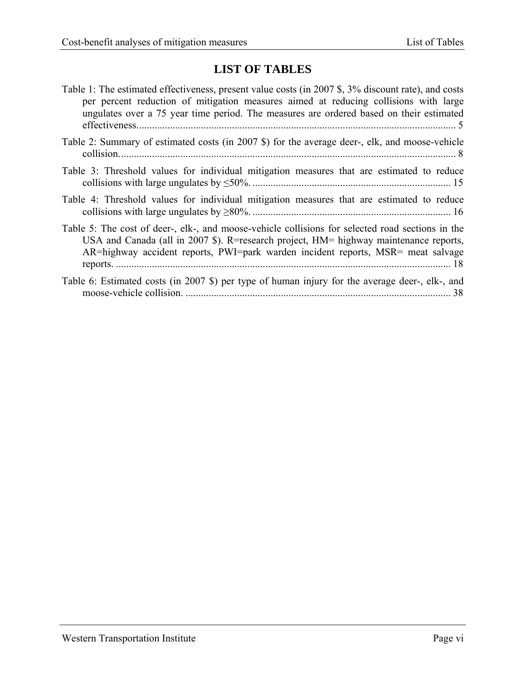# **LIST OF TABLES**

| Table 1: The estimated effectiveness, present value costs (in 2007 \$, 3% discount rate), and costs<br>per percent reduction of mitigation measures aimed at reducing collisions with large<br>ungulates over a 75 year time period. The measures are ordered based on their estimated |
|----------------------------------------------------------------------------------------------------------------------------------------------------------------------------------------------------------------------------------------------------------------------------------------|
| Table 2: Summary of estimated costs (in 2007 \$) for the average deer-, elk, and moose-vehicle                                                                                                                                                                                         |
| Table 3: Threshold values for individual mitigation measures that are estimated to reduce                                                                                                                                                                                              |
| Table 4: Threshold values for individual mitigation measures that are estimated to reduce                                                                                                                                                                                              |
| Table 5: The cost of deer-, elk-, and moose-vehicle collisions for selected road sections in the<br>USA and Canada (all in 2007 \$). R=research project, HM= highway maintenance reports,<br>AR=highway accident reports, PWI=park warden incident reports, MSR= meat salvage          |
| Table 6: Estimated costs (in 2007 \$) per type of human injury for the average deer-, elk-, and                                                                                                                                                                                        |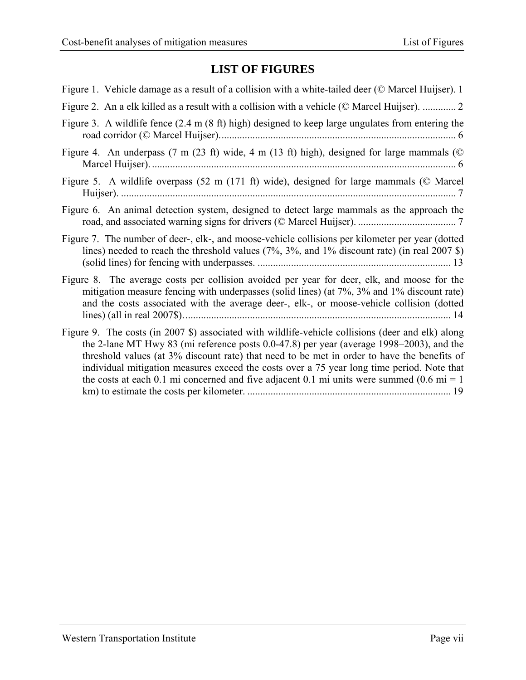# **LIST OF FIGURES**

| Figure 1. Vehicle damage as a result of a collision with a white-tailed deer (© Marcel Huijser). 1                                                                                                                                                                                                                                                                                                                                                                                                 |
|----------------------------------------------------------------------------------------------------------------------------------------------------------------------------------------------------------------------------------------------------------------------------------------------------------------------------------------------------------------------------------------------------------------------------------------------------------------------------------------------------|
| Figure 2. An a elk killed as a result with a collision with a vehicle (© Marcel Huijser).  2                                                                                                                                                                                                                                                                                                                                                                                                       |
| Figure 3. A wildlife fence (2.4 m (8 ft) high) designed to keep large ungulates from entering the                                                                                                                                                                                                                                                                                                                                                                                                  |
| Figure 4. An underpass (7 m (23 ft) wide, 4 m (13 ft) high), designed for large mammals ( $\heartsuit$                                                                                                                                                                                                                                                                                                                                                                                             |
| Figure 5. A wildlife overpass (52 m (171 ft) wide), designed for large mammals (© Marcel                                                                                                                                                                                                                                                                                                                                                                                                           |
| Figure 6. An animal detection system, designed to detect large mammals as the approach the                                                                                                                                                                                                                                                                                                                                                                                                         |
| Figure 7. The number of deer-, elk-, and moose-vehicle collisions per kilometer per year (dotted<br>lines) needed to reach the threshold values $(7\%, 3\%, \text{ and } 1\% \text{ discount rate})$ (in real 2007 \$)                                                                                                                                                                                                                                                                             |
| Figure 8. The average costs per collision avoided per year for deer, elk, and moose for the<br>mitigation measure fencing with underpasses (solid lines) (at 7%, 3% and 1% discount rate)<br>and the costs associated with the average deer-, elk-, or moose-vehicle collision (dotted                                                                                                                                                                                                             |
| Figure 9. The costs (in 2007 \$) associated with wildlife-vehicle collisions (deer and elk) along<br>the 2-lane MT Hwy 83 (mi reference posts 0.0-47.8) per year (average 1998–2003), and the<br>threshold values (at 3% discount rate) that need to be met in order to have the benefits of<br>individual mitigation measures exceed the costs over a 75 year long time period. Note that<br>the costs at each 0.1 mi concerned and five adjacent 0.1 mi units were summed $(0.6 \text{ mi} = 1)$ |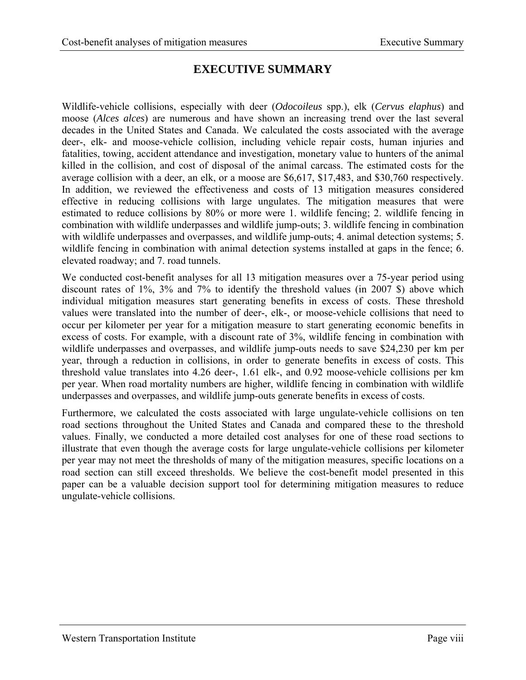## **EXECUTIVE SUMMARY**

Wildlife-vehicle collisions, especially with deer (*Odocoileus* spp.), elk (*Cervus elaphus*) and moose (*Alces alces*) are numerous and have shown an increasing trend over the last several decades in the United States and Canada. We calculated the costs associated with the average deer-, elk- and moose-vehicle collision, including vehicle repair costs, human injuries and fatalities, towing, accident attendance and investigation, monetary value to hunters of the animal killed in the collision, and cost of disposal of the animal carcass. The estimated costs for the average collision with a deer, an elk, or a moose are \$6,617, \$17,483, and \$30,760 respectively. In addition, we reviewed the effectiveness and costs of 13 mitigation measures considered effective in reducing collisions with large ungulates. The mitigation measures that were estimated to reduce collisions by 80% or more were 1. wildlife fencing; 2. wildlife fencing in combination with wildlife underpasses and wildlife jump-outs; 3. wildlife fencing in combination with wildlife underpasses and overpasses, and wildlife jump-outs; 4. animal detection systems; 5. wildlife fencing in combination with animal detection systems installed at gaps in the fence; 6. elevated roadway; and 7. road tunnels.

We conducted cost-benefit analyses for all 13 mitigation measures over a 75-year period using discount rates of 1%, 3% and 7% to identify the threshold values (in 2007 \$) above which individual mitigation measures start generating benefits in excess of costs. These threshold values were translated into the number of deer-, elk-, or moose-vehicle collisions that need to occur per kilometer per year for a mitigation measure to start generating economic benefits in excess of costs. For example, with a discount rate of 3%, wildlife fencing in combination with wildlife underpasses and overpasses, and wildlife jump-outs needs to save \$24,230 per km per year, through a reduction in collisions, in order to generate benefits in excess of costs. This threshold value translates into 4.26 deer-, 1.61 elk-, and 0.92 moose-vehicle collisions per km per year. When road mortality numbers are higher, wildlife fencing in combination with wildlife underpasses and overpasses, and wildlife jump-outs generate benefits in excess of costs.

Furthermore, we calculated the costs associated with large ungulate-vehicle collisions on ten road sections throughout the United States and Canada and compared these to the threshold values. Finally, we conducted a more detailed cost analyses for one of these road sections to illustrate that even though the average costs for large ungulate-vehicle collisions per kilometer per year may not meet the thresholds of many of the mitigation measures, specific locations on a road section can still exceed thresholds. We believe the cost-benefit model presented in this paper can be a valuable decision support tool for determining mitigation measures to reduce ungulate-vehicle collisions.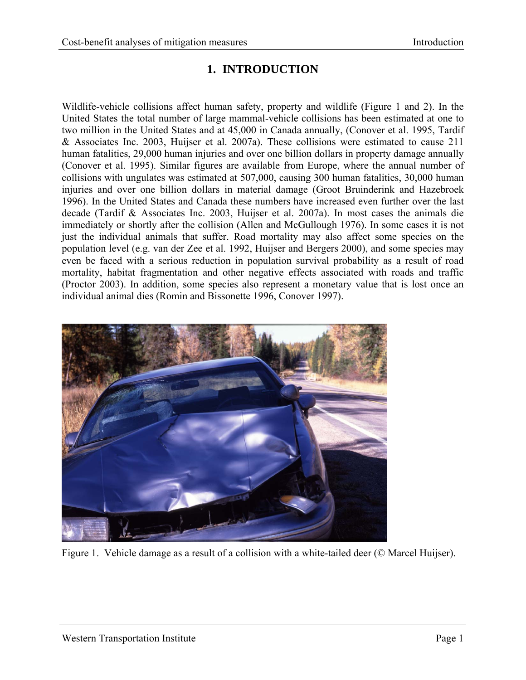## **1. INTRODUCTION**

<span id="page-8-1"></span><span id="page-8-0"></span>Wildlife-vehicle collisions affect human safety, property and wildlife (Figure 1 and 2). In the United States the total number of large mammal-vehicle collisions has been estimated at one to two million in the United States and at 45,000 in Canada annually, (Conover et al. 1995, Tardif & Associates Inc. 2003, Huijser et al. 2007a). These collisions were estimated to cause 211 human fatalities, 29,000 human injuries and over one billion dollars in property damage annually (Conover et al. 1995). Similar figures are available from Europe, where the annual number of collisions with ungulates was estimated at 507,000, causing 300 human fatalities, 30,000 human injuries and over one billion dollars in material damage (Groot Bruinderink and Hazebroek 1996). In the United States and Canada these numbers have increased even further over the last decade (Tardif & Associates Inc. 2003, Huijser et al. 2007a). In most cases the animals die immediately or shortly after the collision (Allen and McGullough 1976). In some cases it is not just the individual animals that suffer. Road mortality may also affect some species on the population level (e.g. van der Zee et al. 1992, Huijser and Bergers 2000), and some species may even be faced with a serious reduction in population survival probability as a result of road mortality, habitat fragmentation and other negative effects associated with roads and traffic (Proctor 2003). In addition, some species also represent a monetary value that is lost once an individual animal dies (Romin and Bissonette 1996, Conover 1997).

<span id="page-8-2"></span>

Figure 1. Vehicle damage as a result of a collision with a white-tailed deer (© Marcel Huijser).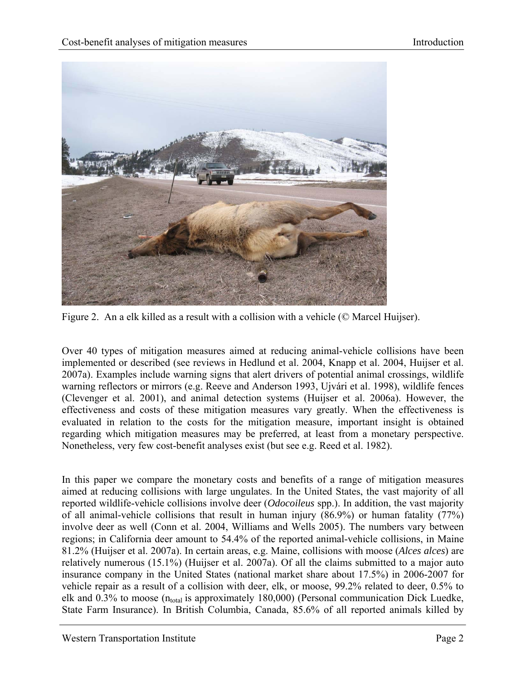<span id="page-9-0"></span>

Figure 2. An a elk killed as a result with a collision with a vehicle (© Marcel Huijser).

<span id="page-9-1"></span>Over 40 types of mitigation measures aimed at reducing animal-vehicle collisions have been implemented or described (see reviews in Hedlund et al. 2004, Knapp et al. 2004, Huijser et al. 2007a). Examples include warning signs that alert drivers of potential animal crossings, wildlife warning reflectors or mirrors (e.g. Reeve and Anderson 1993, Ujvári et al. 1998), wildlife fences (Clevenger et al. 2001), and animal detection systems (Huijser et al. 2006a). However, the effectiveness and costs of these mitigation measures vary greatly. When the effectiveness is evaluated in relation to the costs for the mitigation measure, important insight is obtained regarding which mitigation measures may be preferred, at least from a monetary perspective. Nonetheless, very few cost-benefit analyses exist (but see e.g. Reed et al. 1982).

In this paper we compare the monetary costs and benefits of a range of mitigation measures aimed at reducing collisions with large ungulates. In the United States, the vast majority of all reported wildlife-vehicle collisions involve deer (*Odocoileus* spp.). In addition, the vast majority of all animal-vehicle collisions that result in human injury (86.9%) or human fatality (77%) involve deer as well (Conn et al. 2004, Williams and Wells 2005). The numbers vary between regions; in California deer amount to 54.4% of the reported animal-vehicle collisions, in Maine 81.2% (Huijser et al. 2007a). In certain areas, e.g. Maine, collisions with moose (*Alces alces*) are relatively numerous (15.1%) (Huijser et al. 2007a). Of all the claims submitted to a major auto insurance company in the United States (national market share about 17.5%) in 2006-2007 for vehicle repair as a result of a collision with deer, elk, or moose, 99.2% related to deer, 0.5% to elk and  $0.3\%$  to moose (n<sub>total</sub> is approximately 180,000) (Personal communication Dick Luedke, State Farm Insurance). In British Columbia, Canada, 85.6% of all reported animals killed by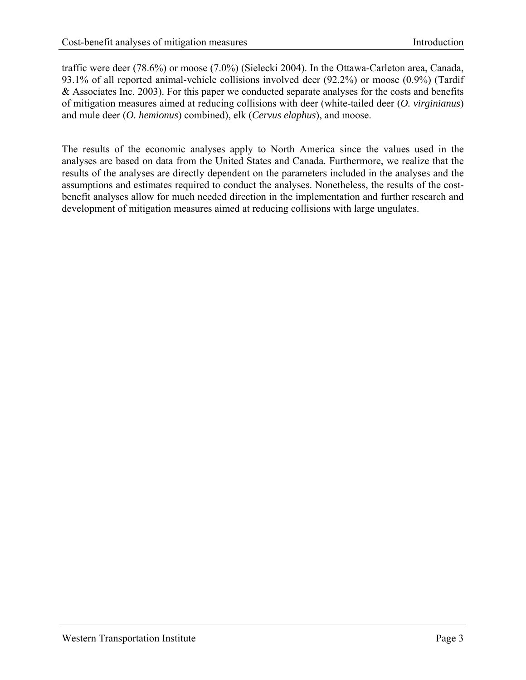traffic were deer (78.6%) or moose (7.0%) (Sielecki 2004). In the Ottawa-Carleton area, Canada, 93.1% of all reported animal-vehicle collisions involved deer (92.2%) or moose (0.9%) (Tardif & Associates Inc. 2003). For this paper we conducted separate analyses for the costs and benefits of mitigation measures aimed at reducing collisions with deer (white-tailed deer (*O. virginianus*) and mule deer (*O. hemionus*) combined), elk (*Cervus elaphus*), and moose.

The results of the economic analyses apply to North America since the values used in the analyses are based on data from the United States and Canada. Furthermore, we realize that the results of the analyses are directly dependent on the parameters included in the analyses and the assumptions and estimates required to conduct the analyses. Nonetheless, the results of the costbenefit analyses allow for much needed direction in the implementation and further research and development of mitigation measures aimed at reducing collisions with large ungulates.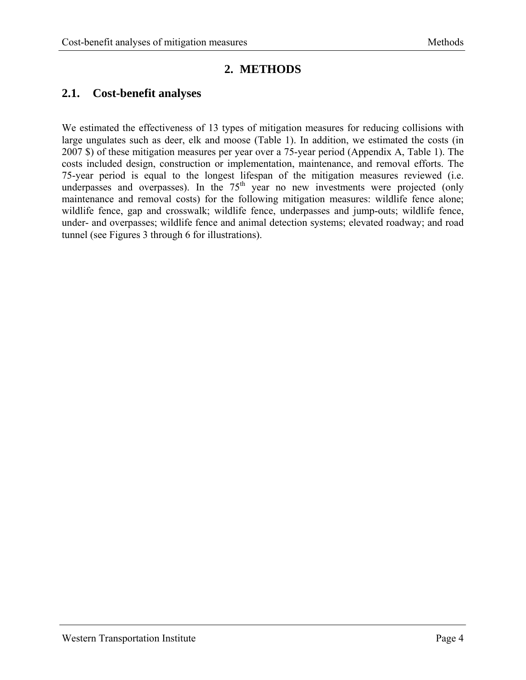## **2. METHODS**

### <span id="page-11-2"></span><span id="page-11-1"></span><span id="page-11-0"></span>**2.1. Cost-benefit analyses**

We estimated the effectiveness of 13 types of mitigation measures for reducing collisions with large ungulates such as deer, elk and moose (Table 1). In addition, we estimated the costs (in 2007 \$) of these mitigation measures per year over a 75-year period (Appendix A, Table 1). The costs included design, construction or implementation, maintenance, and removal efforts. The 75-year period is equal to the longest lifespan of the mitigation measures reviewed (i.e. underpasses and overpasses). In the  $75<sup>th</sup>$  year no new investments were projected (only maintenance and removal costs) for the following mitigation measures: wildlife fence alone; wildlife fence, gap and crosswalk; wildlife fence, underpasses and jump-outs; wildlife fence, under- and overpasses; wildlife fence and animal detection systems; elevated roadway; and road tunnel (see Figures 3 through 6 for illustrations).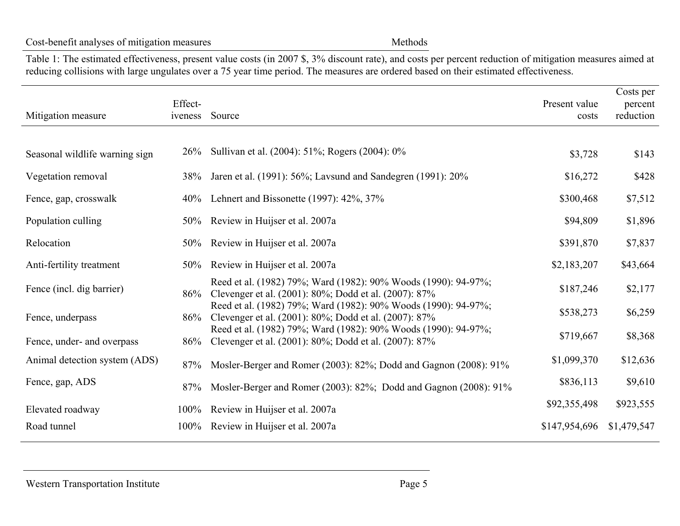#### Cost-benefit analyses of mitigation measures Methods

Table 1: The estimated effectiveness, present value costs (in 2007 \$, 3% discount rate), and costs per percent reduction of mitigation measures aimed at reducing collisions with large ungulates over a 75 year time period. The measures are ordered based on their estimated effectiveness.

<span id="page-12-1"></span><span id="page-12-0"></span>

| Mitigation measure             | Effect-<br>iveness | Source                                                                                                                  | Present value<br>costs | Costs per<br>percent<br>reduction |
|--------------------------------|--------------------|-------------------------------------------------------------------------------------------------------------------------|------------------------|-----------------------------------|
|                                |                    |                                                                                                                         |                        |                                   |
| Seasonal wildlife warning sign | 26%                | Sullivan et al. (2004): 51%; Rogers (2004): 0%                                                                          | \$3,728                | \$143                             |
| Vegetation removal             | 38%                | Jaren et al. (1991): 56%; Lavsund and Sandegren (1991): 20%                                                             | \$16,272               | \$428                             |
| Fence, gap, crosswalk          |                    | 40% Lehnert and Bissonette (1997): 42%, 37%                                                                             | \$300,468              | \$7,512                           |
| Population culling             |                    | 50% Review in Huijser et al. 2007a                                                                                      | \$94,809               | \$1,896                           |
| Relocation                     |                    | 50% Review in Huijser et al. 2007a                                                                                      | \$391,870              | \$7,837                           |
| Anti-fertility treatment       |                    | 50% Review in Huijser et al. 2007a                                                                                      | \$2,183,207            | \$43,664                          |
| Fence (incl. dig barrier)      | 86%                | Reed et al. (1982) 79%; Ward (1982): 90% Woods (1990): 94-97%;<br>Clevenger et al. (2001): 80%; Dodd et al. (2007): 87% | \$187,246              | \$2,177                           |
| Fence, underpass               | 86%                | Reed et al. (1982) 79%; Ward (1982): 90% Woods (1990): 94-97%;<br>Clevenger et al. (2001): 80%; Dodd et al. (2007): 87% | \$538,273              | \$6,259                           |
| Fence, under- and overpass     | 86%                | Reed et al. (1982) 79%; Ward (1982): 90% Woods (1990): 94-97%;<br>Clevenger et al. (2001): 80%; Dodd et al. (2007): 87% | \$719,667              | \$8,368                           |
| Animal detection system (ADS)  | 87%                | Mosler-Berger and Romer (2003): 82%; Dodd and Gagnon (2008): 91%                                                        | \$1,099,370            | \$12,636                          |
| Fence, gap, ADS                | 87%                | Mosler-Berger and Romer (2003): 82%; Dodd and Gagnon (2008): 91%                                                        | \$836,113              | \$9,610                           |
| Elevated roadway               | $100\%$            | Review in Huijser et al. 2007a                                                                                          | \$92,355,498           | \$923,555                         |
| Road tunnel                    | $100\%$            | Review in Huijser et al. 2007a                                                                                          | \$147,954,696          | \$1,479,547                       |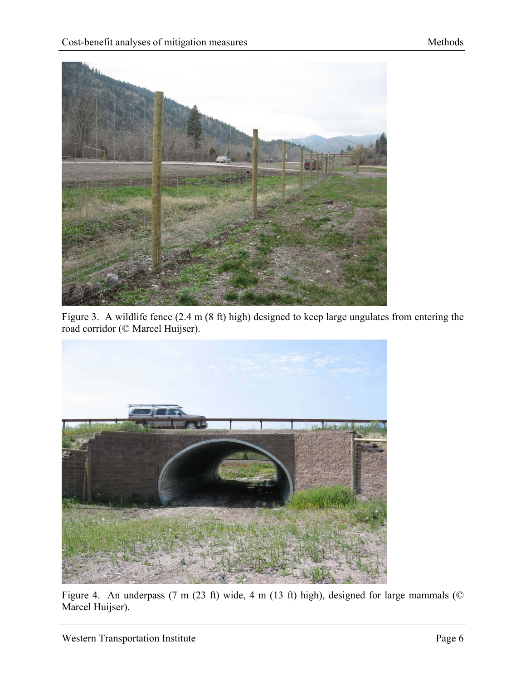<span id="page-13-0"></span>

<span id="page-13-1"></span>Figure 3. A wildlife fence (2.4 m (8 ft) high) designed to keep large ungulates from entering the road corridor (© Marcel Huijser).



<span id="page-13-2"></span>Figure 4. An underpass (7 m (23 ft) wide, 4 m (13 ft) high), designed for large mammals ( $\heartsuit$ Marcel Huijser).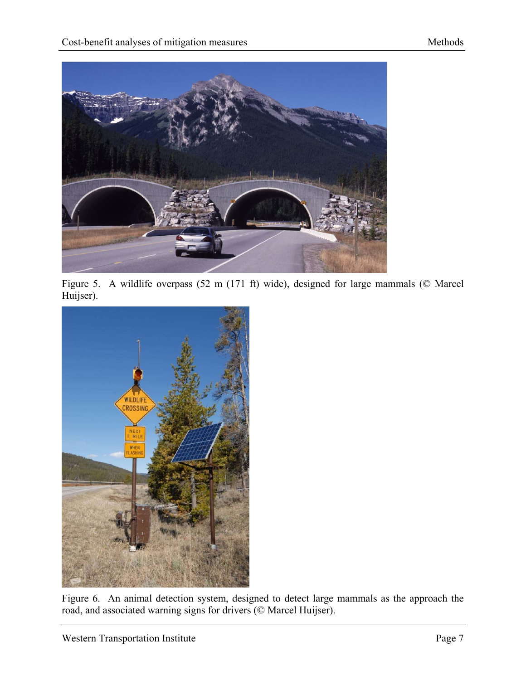<span id="page-14-0"></span>

Figure 5. A wildlife overpass (52 m (171 ft) wide), designed for large mammals (© Marcel Huijser).

<span id="page-14-1"></span>

<span id="page-14-2"></span>Figure 6. An animal detection system, designed to detect large mammals as the approach the road, and associated warning signs for drivers (© Marcel Huijser).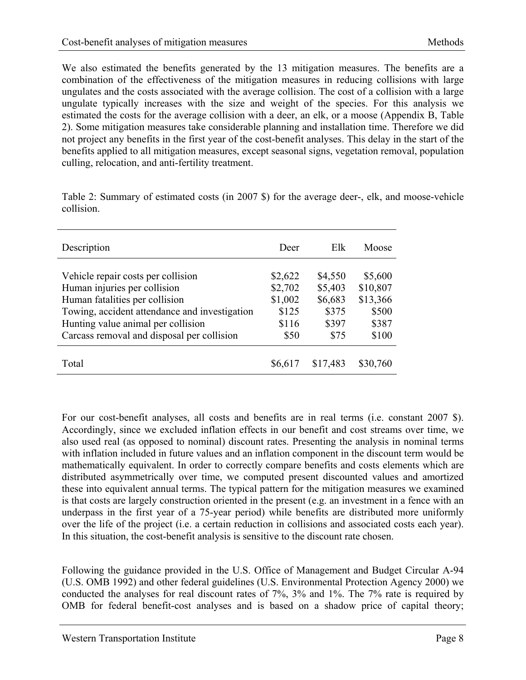<span id="page-15-0"></span>We also estimated the benefits generated by the 13 mitigation measures. The benefits are a combination of the effectiveness of the mitigation measures in reducing collisions with large ungulates and the costs associated with the average collision. The cost of a collision with a large ungulate typically increases with the size and weight of the species. For this analysis we estimated the costs for the average collision with a deer, an elk, or a moose (Appendix B, Table 2). Some mitigation measures take considerable planning and installation time. Therefore we did not project any benefits in the first year of the cost-benefit analyses. This delay in the start of the benefits applied to all mitigation measures, except seasonal signs, vegetation removal, population culling, relocation, and anti-fertility treatment.

| Description                                   | Deer    | Elk      | Moose    |
|-----------------------------------------------|---------|----------|----------|
| Vehicle repair costs per collision            | \$2,622 | \$4,550  | \$5,600  |
| Human injuries per collision                  | \$2,702 | \$5,403  | \$10,807 |
| Human fatalities per collision                | \$1,002 | \$6,683  | \$13,366 |
| Towing, accident attendance and investigation | \$125   | \$375    | \$500    |
| Hunting value animal per collision            | \$116   | \$397    | \$387    |
| Carcass removal and disposal per collision    | \$50    | \$75     | \$100    |
| Total                                         | \$6,617 | \$17,483 | \$30,760 |

<span id="page-15-1"></span>Table 2: Summary of estimated costs (in 2007 \$) for the average deer-, elk, and moose-vehicle collision.

For our cost-benefit analyses, all costs and benefits are in real terms (i.e. constant 2007 \$). Accordingly, since we excluded inflation effects in our benefit and cost streams over time, we also used real (as opposed to nominal) discount rates. Presenting the analysis in nominal terms with inflation included in future values and an inflation component in the discount term would be mathematically equivalent. In order to correctly compare benefits and costs elements which are distributed asymmetrically over time, we computed present discounted values and amortized these into equivalent annual terms. The typical pattern for the mitigation measures we examined is that costs are largely construction oriented in the present (e.g. an investment in a fence with an underpass in the first year of a 75-year period) while benefits are distributed more uniformly over the life of the project (i.e. a certain reduction in collisions and associated costs each year). In this situation, the cost-benefit analysis is sensitive to the discount rate chosen.

Following the guidance provided in the U.S. Office of Management and Budget Circular A-94 (U.S. OMB 1992) and other federal guidelines (U.S. Environmental Protection Agency 2000) we conducted the analyses for real discount rates of 7%, 3% and 1%. The 7% rate is required by OMB for federal benefit-cost analyses and is based on a shadow price of capital theory;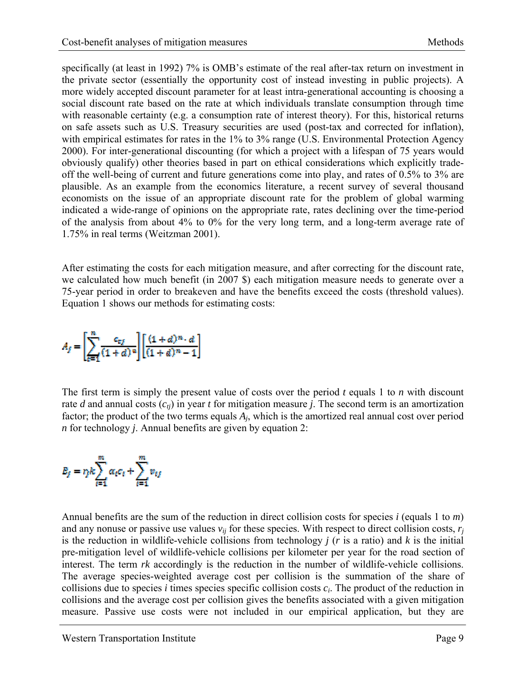specifically (at least in 1992) 7% is OMB's estimate of the real after-tax return on investment in the private sector (essentially the opportunity cost of instead investing in public projects). A more widely accepted discount parameter for at least intra-generational accounting is choosing a social discount rate based on the rate at which individuals translate consumption through time with reasonable certainty (e.g. a consumption rate of interest theory). For this, historical returns on safe assets such as U.S. Treasury securities are used (post-tax and corrected for inflation), with empirical estimates for rates in the 1% to 3% range (U.S. Environmental Protection Agency 2000). For inter-generational discounting (for which a project with a lifespan of 75 years would obviously qualify) other theories based in part on ethical considerations which explicitly tradeoff the well-being of current and future generations come into play, and rates of 0.5% to 3% are plausible. As an example from the economics literature, a recent survey of several thousand economists on the issue of an appropriate discount rate for the problem of global warming indicated a wide-range of opinions on the appropriate rate, rates declining over the time-period of the analysis from about 4% to 0% for the very long term, and a long-term average rate of 1.75% in real terms (Weitzman 2001).

After estimating the costs for each mitigation measure, and after correcting for the discount rate, we calculated how much benefit (in 2007 \$) each mitigation measure needs to generate over a 75-year period in order to breakeven and have the benefits exceed the costs (threshold values). Equation 1 shows our methods for estimating costs:

$$
A_f = \left[\sum_{k=1}^m \frac{c_{ij}}{(1+d)^n}\right] \left[\frac{(1+d)^n \cdot d}{(1+d)^n - 1}\right]
$$

The first term is simply the present value of costs over the period *t* equals 1 to *n* with discount rate *d* and annual costs  $(c_{ti})$  in year *t* for mitigation measure *j*. The second term is an amortization factor; the product of the two terms equals *Aj*, which is the amortized real annual cost over period *n* for technology *j*. Annual benefits are given by equation 2:

$$
B_f = r_j k \sum_{i=1}^m \alpha_i c_i + \sum_{i=1}^m v_{tj}
$$

Annual benefits are the sum of the reduction in direct collision costs for species *i* (equals 1 to *m*) and any nonuse or passive use values  $v_{ij}$  for these species. With respect to direct collision costs,  $r_i$ is the reduction in wildlife-vehicle collisions from technology *j* (*r* is a ratio) and *k* is the initial pre-mitigation level of wildlife-vehicle collisions per kilometer per year for the road section of interest. The term *rk* accordingly is the reduction in the number of wildlife-vehicle collisions. The average species-weighted average cost per collision is the summation of the share of collisions due to species *i* times species specific collision costs  $c_i$ . The product of the reduction in collisions and the average cost per collision gives the benefits associated with a given mitigation measure. Passive use costs were not included in our empirical application, but they are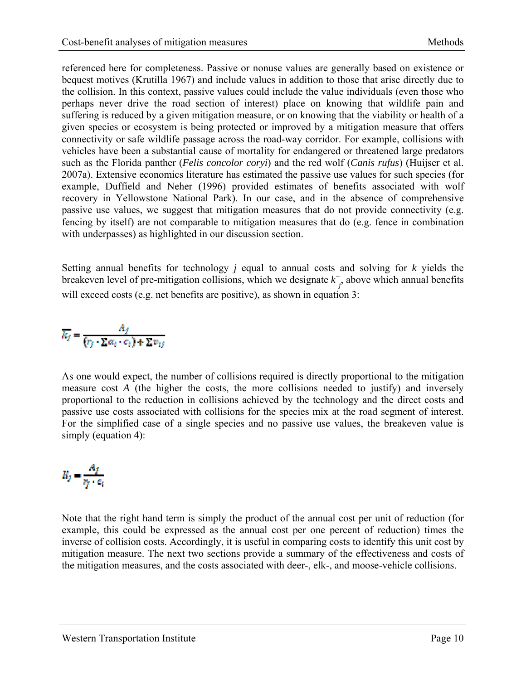referenced here for completeness. Passive or nonuse values are generally based on existence or bequest motives (Krutilla 1967) and include values in addition to those that arise directly due to the collision. In this context, passive values could include the value individuals (even those who perhaps never drive the road section of interest) place on knowing that wildlife pain and suffering is reduced by a given mitigation measure, or on knowing that the viability or health of a given species or ecosystem is being protected or improved by a mitigation measure that offers connectivity or safe wildlife passage across the road-way corridor. For example, collisions with vehicles have been a substantial cause of mortality for endangered or threatened large predators such as the Florida panther (*Felis concolor coryi*) and the red wolf (*Canis rufus*) (Huijser et al. 2007a). Extensive economics literature has estimated the passive use values for such species (for example, Duffield and Neher (1996) provided estimates of benefits associated with wolf recovery in Yellowstone National Park). In our case, and in the absence of comprehensive passive use values, we suggest that mitigation measures that do not provide connectivity (e.g. fencing by itself) are not comparable to mitigation measures that do (e.g. fence in combination with underpasses) as highlighted in our discussion section.

Setting annual benefits for technology *j* equal to annual costs and solving for *k* yields the breakeven level of pre-mitigation collisions, which we designate  $k_{j}$ , above which annual benefits will exceed costs (e.g. net benefits are positive), as shown in equation 3:

$$
\overline{k_j} = \frac{A_j}{(r_j \cdot \Sigma \alpha_t \cdot c_t) + \Sigma v_{tj}}
$$

As one would expect, the number of collisions required is directly proportional to the mitigation measure cost *A* (the higher the costs, the more collisions needed to justify) and inversely proportional to the reduction in collisions achieved by the technology and the direct costs and passive use costs associated with collisions for the species mix at the road segment of interest. For the simplified case of a single species and no passive use values, the breakeven value is simply (equation 4):

$$
R_j = \frac{A_j}{r_i + c_i}
$$

Note that the right hand term is simply the product of the annual cost per unit of reduction (for example, this could be expressed as the annual cost per one percent of reduction) times the inverse of collision costs. Accordingly, it is useful in comparing costs to identify this unit cost by mitigation measure. The next two sections provide a summary of the effectiveness and costs of the mitigation measures, and the costs associated with deer-, elk-, and moose-vehicle collisions.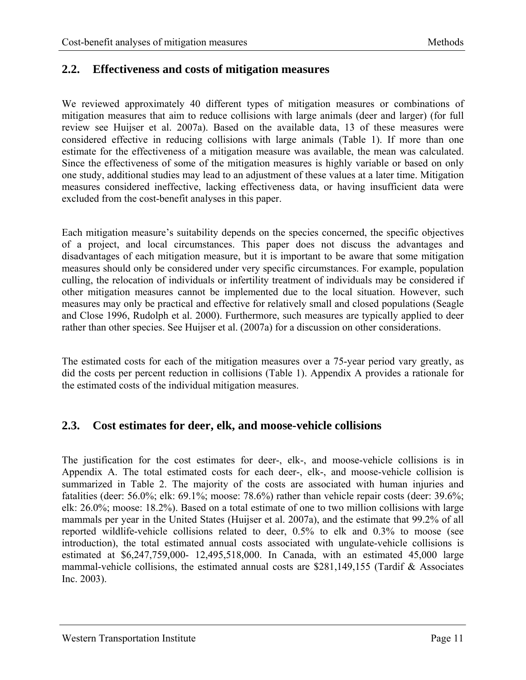#### <span id="page-18-1"></span><span id="page-18-0"></span>**2.2. Effectiveness and costs of mitigation measures**

We reviewed approximately 40 different types of mitigation measures or combinations of mitigation measures that aim to reduce collisions with large animals (deer and larger) (for full review see Huijser et al. 2007a). Based on the available data, 13 of these measures were considered effective in reducing collisions with large animals (Table 1). If more than one estimate for the effectiveness of a mitigation measure was available, the mean was calculated. Since the effectiveness of some of the mitigation measures is highly variable or based on only one study, additional studies may lead to an adjustment of these values at a later time. Mitigation measures considered ineffective, lacking effectiveness data, or having insufficient data were excluded from the cost-benefit analyses in this paper.

Each mitigation measure's suitability depends on the species concerned, the specific objectives of a project, and local circumstances. This paper does not discuss the advantages and disadvantages of each mitigation measure, but it is important to be aware that some mitigation measures should only be considered under very specific circumstances. For example, population culling, the relocation of individuals or infertility treatment of individuals may be considered if other mitigation measures cannot be implemented due to the local situation. However, such measures may only be practical and effective for relatively small and closed populations (Seagle and Close 1996, Rudolph et al. 2000). Furthermore, such measures are typically applied to deer rather than other species. See Huijser et al. (2007a) for a discussion on other considerations.

The estimated costs for each of the mitigation measures over a 75-year period vary greatly, as did the costs per percent reduction in collisions (Table 1). Appendix A provides a rationale for the estimated costs of the individual mitigation measures.

#### <span id="page-18-2"></span>**2.3. Cost estimates for deer, elk, and moose-vehicle collisions**

The justification for the cost estimates for deer-, elk-, and moose-vehicle collisions is in Appendix A. The total estimated costs for each deer-, elk-, and moose-vehicle collision is summarized in Table 2. The majority of the costs are associated with human injuries and fatalities (deer: 56.0%; elk: 69.1%; moose: 78.6%) rather than vehicle repair costs (deer: 39.6%; elk: 26.0%; moose: 18.2%). Based on a total estimate of one to two million collisions with large mammals per year in the United States (Huijser et al. 2007a), and the estimate that 99.2% of all reported wildlife-vehicle collisions related to deer, 0.5% to elk and 0.3% to moose (see introduction), the total estimated annual costs associated with ungulate-vehicle collisions is estimated at \$6,247,759,000- 12,495,518,000. In Canada, with an estimated 45,000 large mammal-vehicle collisions, the estimated annual costs are \$281,149,155 (Tardif & Associates Inc. 2003).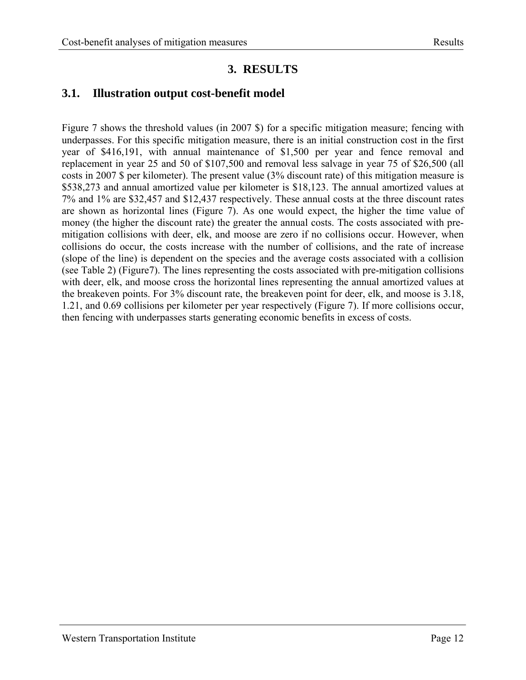## **3. RESULTS**

### <span id="page-19-2"></span><span id="page-19-1"></span><span id="page-19-0"></span>**3.1. Illustration output cost-benefit model**

Figure 7 shows the threshold values (in 2007 \$) for a specific mitigation measure; fencing with underpasses. For this specific mitigation measure, there is an initial construction cost in the first year of \$416,191, with annual maintenance of \$1,500 per year and fence removal and replacement in year 25 and 50 of \$107,500 and removal less salvage in year 75 of \$26,500 (all costs in 2007 \$ per kilometer). The present value (3% discount rate) of this mitigation measure is \$538,273 and annual amortized value per kilometer is \$18,123. The annual amortized values at 7% and 1% are \$32,457 and \$12,437 respectively. These annual costs at the three discount rates are shown as horizontal lines (Figure 7). As one would expect, the higher the time value of money (the higher the discount rate) the greater the annual costs. The costs associated with premitigation collisions with deer, elk, and moose are zero if no collisions occur. However, when collisions do occur, the costs increase with the number of collisions, and the rate of increase (slope of the line) is dependent on the species and the average costs associated with a collision (see Table 2) (Figure7). The lines representing the costs associated with pre-mitigation collisions with deer, elk, and moose cross the horizontal lines representing the annual amortized values at the breakeven points. For 3% discount rate, the breakeven point for deer, elk, and moose is 3.18, 1.21, and 0.69 collisions per kilometer per year respectively (Figure 7). If more collisions occur, then fencing with underpasses starts generating economic benefits in excess of costs.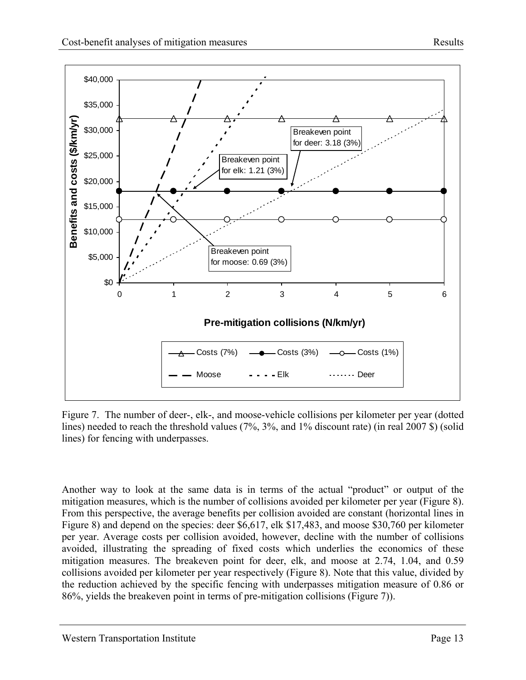<span id="page-20-0"></span>

<span id="page-20-1"></span>Figure 7. The number of deer-, elk-, and moose-vehicle collisions per kilometer per year (dotted lines) needed to reach the threshold values (7%, 3%, and 1% discount rate) (in real 2007 \$) (solid lines) for fencing with underpasses.

Another way to look at the same data is in terms of the actual "product" or output of the mitigation measures, which is the number of collisions avoided per kilometer per year (Figure 8). From this perspective, the average benefits per collision avoided are constant (horizontal lines in Figure 8) and depend on the species: deer \$6,617, elk \$17,483, and moose \$30,760 per kilometer per year. Average costs per collision avoided, however, decline with the number of collisions avoided, illustrating the spreading of fixed costs which underlies the economics of these mitigation measures. The breakeven point for deer, elk, and moose at 2.74, 1.04, and 0.59 collisions avoided per kilometer per year respectively (Figure 8). Note that this value, divided by the reduction achieved by the specific fencing with underpasses mitigation measure of 0.86 or 86%, yields the breakeven point in terms of pre-mitigation collisions (Figure 7)).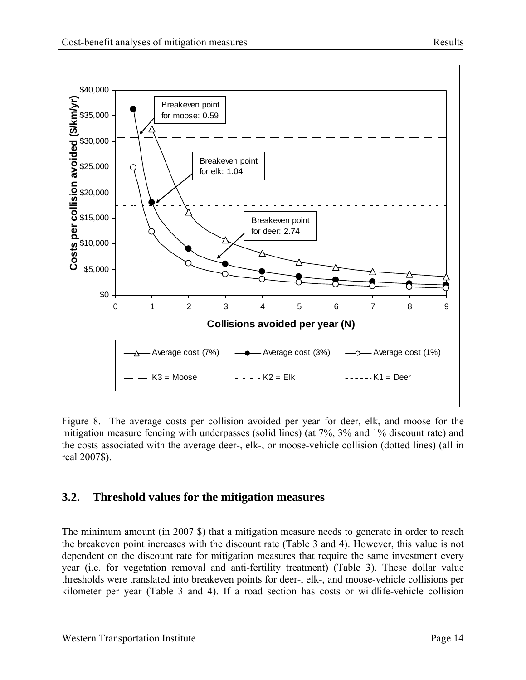

<span id="page-21-0"></span>

<span id="page-21-2"></span>Figure 8. The average costs per collision avoided per year for deer, elk, and moose for the mitigation measure fencing with underpasses (solid lines) (at 7%, 3% and 1% discount rate) and the costs associated with the average deer-, elk-, or moose-vehicle collision (dotted lines) (all in real 2007\$).

### <span id="page-21-1"></span>**3.2. Threshold values for the mitigation measures**

The minimum amount (in 2007 \$) that a mitigation measure needs to generate in order to reach the breakeven point increases with the discount rate (Table 3 and 4). However, this value is not dependent on the discount rate for mitigation measures that require the same investment every year (i.e. for vegetation removal and anti-fertility treatment) (Table 3). These dollar value thresholds were translated into breakeven points for deer-, elk-, and moose-vehicle collisions per kilometer per year (Table 3 and 4). If a road section has costs or wildlife-vehicle collision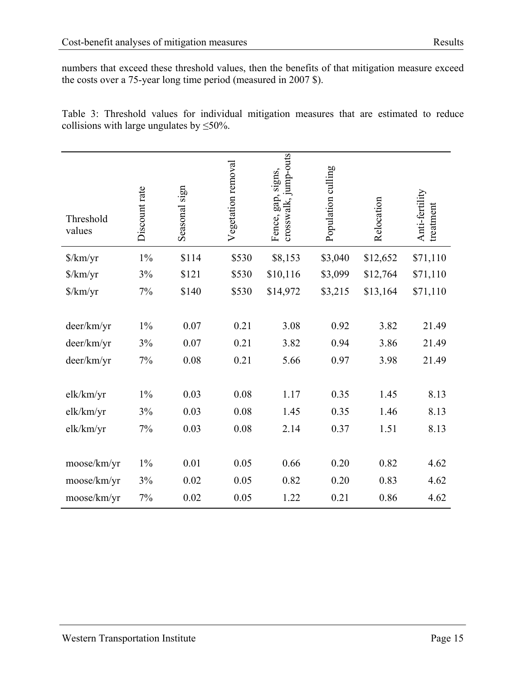<span id="page-22-0"></span>numbers that exceed these threshold values, then the benefits of that mitigation measure exceed the costs over a 75-year long time period (measured in 2007 \$).

<span id="page-22-1"></span>Table 3: Threshold values for individual mitigation measures that are estimated to reduce collisions with large ungulates by  $\leq 50\%$ .

| Threshold<br>values         | Discount rate | Seasonal sign | Vegetation removal | crosswalk, jump-outs<br>Fence, gap, signs, | Population culling | Relocation | Anti-fertility<br>treatment |
|-----------------------------|---------------|---------------|--------------------|--------------------------------------------|--------------------|------------|-----------------------------|
| $\frac{\gamma}{\rm km}$ /yr | $1\%$         | \$114         | \$530              | \$8,153                                    | \$3,040            | \$12,652   | \$71,110                    |
| $\frac{\gamma}{\rm km}$ /yr | 3%            | \$121         | \$530              | \$10,116                                   | \$3,099            | \$12,764   | \$71,110                    |
| \$/km/yr                    | $7\%$         | \$140         | \$530              | \$14,972                                   | \$3,215            | \$13,164   | \$71,110                    |
|                             |               |               |                    |                                            |                    |            |                             |
| deer/km/yr                  | $1\%$         | 0.07          | 0.21               | 3.08                                       | 0.92               | 3.82       | 21.49                       |
| deer/km/yr                  | 3%            | 0.07          | 0.21               | 3.82                                       | 0.94               | 3.86       | 21.49                       |
| deer/km/yr                  | $7\%$         | 0.08          | 0.21               | 5.66                                       | 0.97               | 3.98       | 21.49                       |
|                             |               |               |                    |                                            |                    |            |                             |
| elk/km/yr                   | $1\%$         | 0.03          | 0.08               | 1.17                                       | 0.35               | 1.45       | 8.13                        |
| elk/km/yr                   | 3%            | 0.03          | 0.08               | 1.45                                       | 0.35               | 1.46       | 8.13                        |
| elk/km/yr                   | 7%            | 0.03          | $0.08\,$           | 2.14                                       | 0.37               | 1.51       | 8.13                        |
|                             |               |               |                    |                                            |                    |            |                             |
| moose/km/yr                 | $1\%$         | 0.01          | 0.05               | 0.66                                       | 0.20               | 0.82       | 4.62                        |
| moose/km/yr                 | 3%            | 0.02          | 0.05               | 0.82                                       | 0.20               | 0.83       | 4.62                        |
| moose/km/yr                 | $7\%$         | 0.02          | 0.05               | 1.22                                       | 0.21               | 0.86       | 4.62                        |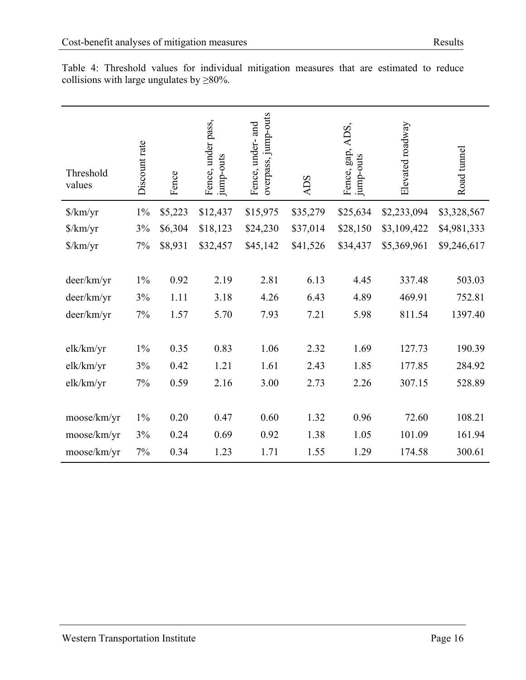| Threshold<br>values         | Discount rate | Fence   | Fence, under pass,<br>jump-outs | overpass, jump-outs<br>Fence, under- and | <b>ADS</b> | ADS,<br>Fence, gap,<br>jump-outs | Elevated roadway | Road tunnel |
|-----------------------------|---------------|---------|---------------------------------|------------------------------------------|------------|----------------------------------|------------------|-------------|
| $\frac{\gamma}{\rm km}$ /yr | $1\%$         | \$5,223 | \$12,437                        | \$15,975                                 | \$35,279   | \$25,634                         | \$2,233,094      | \$3,328,567 |
| $\frac{\gamma}{km}$         | 3%            | \$6,304 | \$18,123                        | \$24,230                                 | \$37,014   | \$28,150                         | \$3,109,422      | \$4,981,333 |
| $\frac{\gamma}{\rm km}$ /yr | 7%            | \$8,931 | \$32,457                        | \$45,142                                 | \$41,526   | \$34,437                         | \$5,369,961      | \$9,246,617 |
|                             |               |         |                                 |                                          |            |                                  |                  |             |
| deer/km/yr                  | $1\%$         | 0.92    | 2.19                            | 2.81                                     | 6.13       | 4.45                             | 337.48           | 503.03      |
| deer/km/yr                  | 3%            | 1.11    | 3.18                            | 4.26                                     | 6.43       | 4.89                             | 469.91           | 752.81      |
| deer/km/yr                  | 7%            | 1.57    | 5.70                            | 7.93                                     | 7.21       | 5.98                             | 811.54           | 1397.40     |
|                             |               |         |                                 |                                          |            |                                  |                  |             |
| elk/km/yr                   | $1\%$         | 0.35    | 0.83                            | 1.06                                     | 2.32       | 1.69                             | 127.73           | 190.39      |
| elk/km/yr                   | 3%            | 0.42    | 1.21                            | 1.61                                     | 2.43       | 1.85                             | 177.85           | 284.92      |
| elk/km/yr                   | 7%            | 0.59    | 2.16                            | 3.00                                     | 2.73       | 2.26                             | 307.15           | 528.89      |
|                             |               |         |                                 |                                          |            |                                  |                  |             |
| moose/km/yr                 | $1\%$         | 0.20    | 0.47                            | 0.60                                     | 1.32       | 0.96                             | 72.60            | 108.21      |
| moose/km/yr                 | 3%            | 0.24    | 0.69                            | 0.92                                     | 1.38       | 1.05                             | 101.09           | 161.94      |
| moose/km/yr                 | 7%            | 0.34    | 1.23                            | 1.71                                     | 1.55       | 1.29                             | 174.58           | 300.61      |

<span id="page-23-1"></span><span id="page-23-0"></span>Table 4: Threshold values for individual mitigation measures that are estimated to reduce collisions with large ungulates by  $\geq 80\%$ .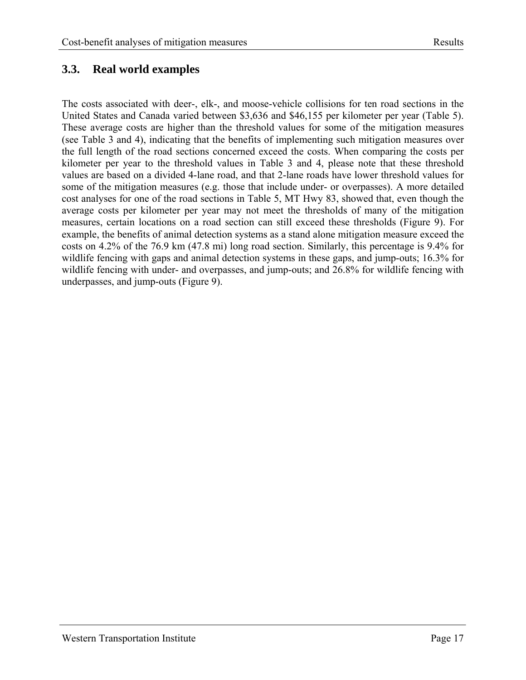### <span id="page-24-1"></span><span id="page-24-0"></span>**3.3. Real world examples**

The costs associated with deer-, elk-, and moose-vehicle collisions for ten road sections in the United States and Canada varied between \$3,636 and \$46,155 per kilometer per year (Table 5). These average costs are higher than the threshold values for some of the mitigation measures (see Table 3 and 4), indicating that the benefits of implementing such mitigation measures over the full length of the road sections concerned exceed the costs. When comparing the costs per kilometer per year to the threshold values in Table 3 and 4, please note that these threshold values are based on a divided 4-lane road, and that 2-lane roads have lower threshold values for some of the mitigation measures (e.g. those that include under- or overpasses). A more detailed cost analyses for one of the road sections in Table 5, MT Hwy 83, showed that, even though the average costs per kilometer per year may not meet the thresholds of many of the mitigation measures, certain locations on a road section can still exceed these thresholds (Figure 9). For example, the benefits of animal detection systems as a stand alone mitigation measure exceed the costs on 4.2% of the 76.9 km (47.8 mi) long road section. Similarly, this percentage is 9.4% for wildlife fencing with gaps and animal detection systems in these gaps, and jump-outs; 16.3% for wildlife fencing with under- and overpasses, and jump-outs; and 26.8% for wildlife fencing with underpasses, and jump-outs (Figure 9).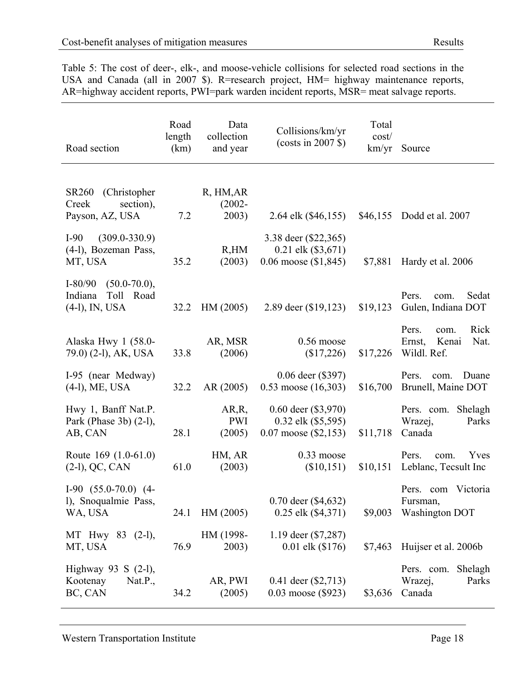<span id="page-25-1"></span><span id="page-25-0"></span>Table 5: The cost of deer-, elk-, and moose-vehicle collisions for selected road sections in the USA and Canada (all in 2007 \$). R=research project, HM= highway maintenance reports, AR=highway accident reports, PWI=park warden incident reports, MSR= meat salvage reports.

| Road section                                                               | Road<br>length<br>(km) | Data<br>collection<br>and year  | Collisions/km/yr<br>$(costs in 2007 \text{ }$ \$)                             | Total<br>cost/<br>km/yr | Source                                                          |
|----------------------------------------------------------------------------|------------------------|---------------------------------|-------------------------------------------------------------------------------|-------------------------|-----------------------------------------------------------------|
| (Christopher<br><b>SR260</b><br>Creek<br>section),<br>Payson, AZ, USA      | 7.2                    | R, HM, AR<br>$(2002 -$<br>2003) | 2.64 elk (\$46,155)                                                           |                         | \$46,155 Dodd et al. 2007                                       |
| $(309.0 - 330.9)$<br>$I-90$<br>(4-1), Bozeman Pass,<br>MT, USA             | 35.2                   | R, HM<br>(2003)                 | 3.38 deer (\$22,365)<br>$0.21$ elk $(\$3,671)$<br>0.06 moose $(\$1,845)$      | \$7,881                 | Hardy et al. 2006                                               |
| $(50.0 - 70.0),$<br>$I-80/90$<br>Toll Road<br>Indiana<br>$(4-1)$ , IN, USA | 32.2                   | HM (2005)                       | 2.89 deer (\$19,123)                                                          | \$19,123                | Pers.<br>Sedat<br>com.<br>Gulen, Indiana DOT                    |
| Alaska Hwy 1 (58.0-<br>79.0) (2-1), AK, USA                                | 33.8                   | AR, MSR<br>(2006)               | $0.56$ moose<br>\$17,226                                                      | \$17,226                | Rick<br>Pers.<br>com.<br>Nat.<br>Ernst,<br>Kenai<br>Wildl. Ref. |
| I-95 (near Medway)<br>$(4-1)$ , ME, USA                                    | 32.2                   | AR(2005)                        | $0.06$ deer $(\$397)$<br>$0.53$ moose $(16,303)$                              | \$16,700                | Pers.<br>Duane<br>com.<br>Brunell, Maine DOT                    |
| Hwy 1, Banff Nat.P.<br>Park (Phase 3b) (2-l),<br>AB, CAN                   | 28.1                   | AR, R,<br><b>PWI</b><br>(2005)  | $0.60$ deer $(\$3,970)$<br>$0.32$ elk $(\$5,595)$<br>$0.07$ moose $(\$2,153)$ | \$11,718                | Pers. com.<br>Shelagh<br>Wrazej,<br>Parks<br>Canada             |
| Route 169 (1.0-61.0)<br>$(2-1)$ , QC, CAN                                  | 61.0                   | HM, AR<br>(2003)                | $0.33$ moose<br>(\$10,151)                                                    | \$10,151                | Pers.<br>Yves<br>com.<br>Leblanc, Tecsult Inc                   |
| $I-90$ $(55.0-70.0)$ $(4-$<br>l), Snoqualmie Pass,<br>WA, USA              | 24.1                   | HM (2005)                       | $0.70$ deer $(\$4,632)$<br>$0.25$ elk $(\$4,371)$                             | \$9,003                 | Pers. com Victoria<br>Fursman,<br><b>Washington DOT</b>         |
| MT Hwy 83 (2-l),<br>MT, USA                                                | 76.9                   | HM (1998-<br>2003)              | 1.19 deer (\$7,287)<br>$0.01$ elk $(\$176)$                                   | \$7,463                 | Huijser et al. 2006b                                            |
| Highway 93 S $(2-1)$ ,<br>Kootenay<br>Nat.P.,<br>BC, CAN                   | 34.2                   | AR, PWI<br>(2005)               | 0.41 deer $(\$2,713)$<br>0.03 moose (\$923)                                   | \$3,636                 | Pers. com.<br>Shelagh<br>Wrazej,<br>Parks<br>Canada             |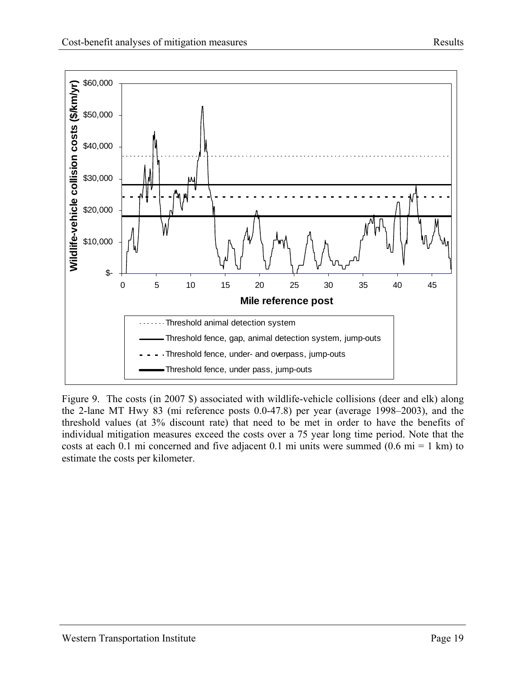<span id="page-26-0"></span>

<span id="page-26-1"></span>Figure 9. The costs (in 2007 \$) associated with wildlife-vehicle collisions (deer and elk) along the 2-lane MT Hwy 83 (mi reference posts 0.0-47.8) per year (average 1998–2003), and the threshold values (at 3% discount rate) that need to be met in order to have the benefits of individual mitigation measures exceed the costs over a 75 year long time period. Note that the costs at each 0.1 mi concerned and five adjacent 0.1 mi units were summed  $(0.6 \text{ mi} = 1 \text{ km})$  to estimate the costs per kilometer.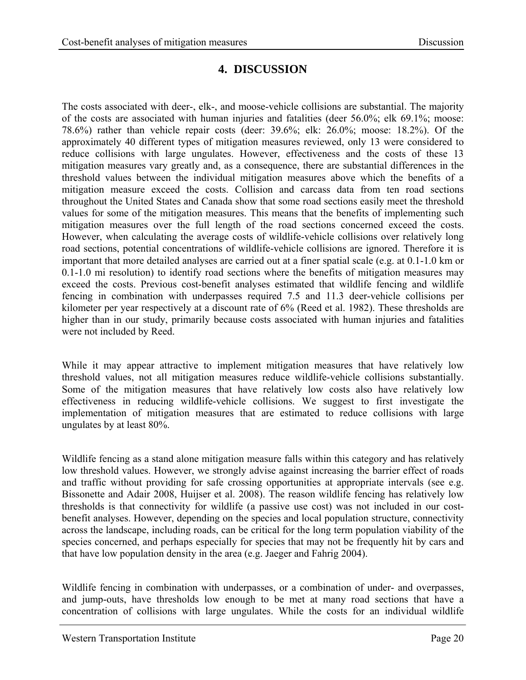## **4. DISCUSSION**

<span id="page-27-1"></span><span id="page-27-0"></span>The costs associated with deer-, elk-, and moose-vehicle collisions are substantial. The majority of the costs are associated with human injuries and fatalities (deer 56.0%; elk 69.1%; moose: 78.6%) rather than vehicle repair costs (deer: 39.6%; elk: 26.0%; moose: 18.2%). Of the approximately 40 different types of mitigation measures reviewed, only 13 were considered to reduce collisions with large ungulates. However, effectiveness and the costs of these 13 mitigation measures vary greatly and, as a consequence, there are substantial differences in the threshold values between the individual mitigation measures above which the benefits of a mitigation measure exceed the costs. Collision and carcass data from ten road sections throughout the United States and Canada show that some road sections easily meet the threshold values for some of the mitigation measures. This means that the benefits of implementing such mitigation measures over the full length of the road sections concerned exceed the costs. However, when calculating the average costs of wildlife-vehicle collisions over relatively long road sections, potential concentrations of wildlife-vehicle collisions are ignored. Therefore it is important that more detailed analyses are carried out at a finer spatial scale (e.g. at 0.1-1.0 km or 0.1-1.0 mi resolution) to identify road sections where the benefits of mitigation measures may exceed the costs. Previous cost-benefit analyses estimated that wildlife fencing and wildlife fencing in combination with underpasses required 7.5 and 11.3 deer-vehicle collisions per kilometer per year respectively at a discount rate of 6% (Reed et al. 1982). These thresholds are higher than in our study, primarily because costs associated with human injuries and fatalities were not included by Reed.

While it may appear attractive to implement mitigation measures that have relatively low threshold values, not all mitigation measures reduce wildlife-vehicle collisions substantially. Some of the mitigation measures that have relatively low costs also have relatively low effectiveness in reducing wildlife-vehicle collisions. We suggest to first investigate the implementation of mitigation measures that are estimated to reduce collisions with large ungulates by at least 80%.

Wildlife fencing as a stand alone mitigation measure falls within this category and has relatively low threshold values. However, we strongly advise against increasing the barrier effect of roads and traffic without providing for safe crossing opportunities at appropriate intervals (see e.g. Bissonette and Adair 2008, Huijser et al. 2008). The reason wildlife fencing has relatively low thresholds is that connectivity for wildlife (a passive use cost) was not included in our costbenefit analyses. However, depending on the species and local population structure, connectivity across the landscape, including roads, can be critical for the long term population viability of the species concerned, and perhaps especially for species that may not be frequently hit by cars and that have low population density in the area (e.g. Jaeger and Fahrig 2004).

Wildlife fencing in combination with underpasses, or a combination of under- and overpasses, and jump-outs, have thresholds low enough to be met at many road sections that have a concentration of collisions with large ungulates. While the costs for an individual wildlife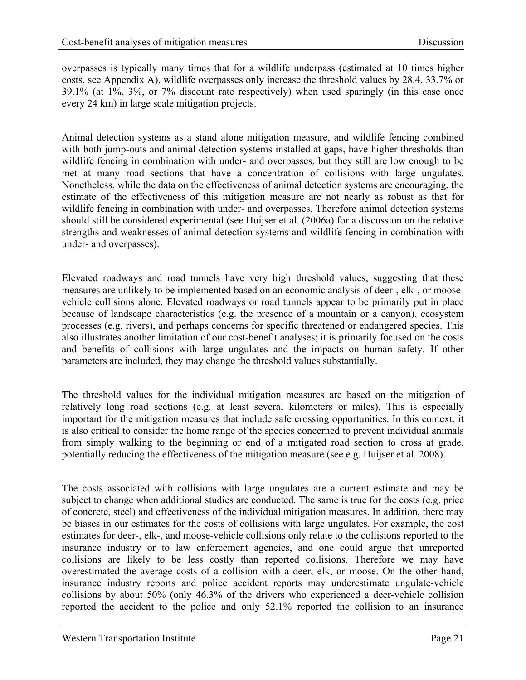overpasses is typically many times that for a wildlife underpass (estimated at 10 times higher costs, see Appendix A), wildlife overpasses only increase the threshold values by 28.4, 33.7% or 39.1% (at 1%, 3%, or 7% discount rate respectively) when used sparingly (in this case once every 24 km) in large scale mitigation projects.

Animal detection systems as a stand alone mitigation measure, and wildlife fencing combined with both jump-outs and animal detection systems installed at gaps, have higher thresholds than wildlife fencing in combination with under- and overpasses, but they still are low enough to be met at many road sections that have a concentration of collisions with large ungulates. Nonetheless, while the data on the effectiveness of animal detection systems are encouraging, the estimate of the effectiveness of this mitigation measure are not nearly as robust as that for wildlife fencing in combination with under- and overpasses. Therefore animal detection systems should still be considered experimental (see Huijser et al. (2006a) for a discussion on the relative strengths and weaknesses of animal detection systems and wildlife fencing in combination with under- and overpasses).

Elevated roadways and road tunnels have very high threshold values, suggesting that these measures are unlikely to be implemented based on an economic analysis of deer-, elk-, or moosevehicle collisions alone. Elevated roadways or road tunnels appear to be primarily put in place because of landscape characteristics (e.g. the presence of a mountain or a canyon), ecosystem processes (e.g. rivers), and perhaps concerns for specific threatened or endangered species. This also illustrates another limitation of our cost-benefit analyses; it is primarily focused on the costs and benefits of collisions with large ungulates and the impacts on human safety. If other parameters are included, they may change the threshold values substantially.

The threshold values for the individual mitigation measures are based on the mitigation of relatively long road sections (e.g. at least several kilometers or miles). This is especially important for the mitigation measures that include safe crossing opportunities. In this context, it is also critical to consider the home range of the species concerned to prevent individual animals from simply walking to the beginning or end of a mitigated road section to cross at grade, potentially reducing the effectiveness of the mitigation measure (see e.g. Huijser et al. 2008).

The costs associated with collisions with large ungulates are a current estimate and may be subject to change when additional studies are conducted. The same is true for the costs (e.g. price of concrete, steel) and effectiveness of the individual mitigation measures. In addition, there may be biases in our estimates for the costs of collisions with large ungulates. For example, the cost estimates for deer-, elk-, and moose-vehicle collisions only relate to the collisions reported to the insurance industry or to law enforcement agencies, and one could argue that unreported collisions are likely to be less costly than reported collisions. Therefore we may have overestimated the average costs of a collision with a deer, elk, or moose. On the other hand, insurance industry reports and police accident reports may underestimate ungulate-vehicle collisions by about 50% (only 46.3% of the drivers who experienced a deer-vehicle collision reported the accident to the police and only 52.1% reported the collision to an insurance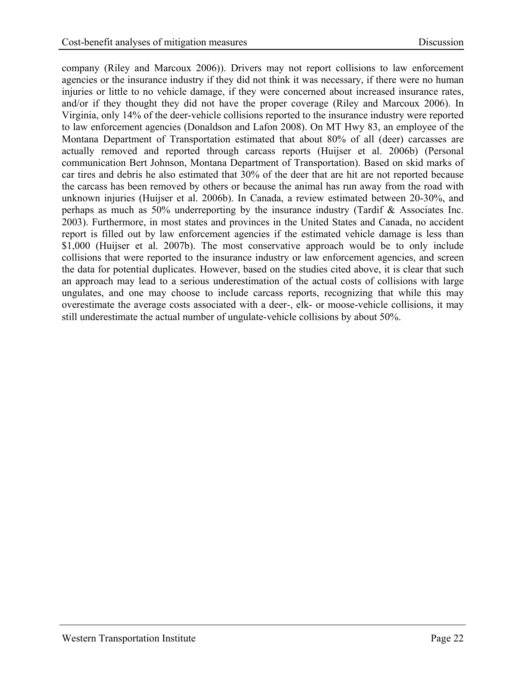company (Riley and Marcoux 2006)). Drivers may not report collisions to law enforcement agencies or the insurance industry if they did not think it was necessary, if there were no human injuries or little to no vehicle damage, if they were concerned about increased insurance rates, and/or if they thought they did not have the proper coverage (Riley and Marcoux 2006). In Virginia, only 14% of the deer-vehicle collisions reported to the insurance industry were reported to law enforcement agencies (Donaldson and Lafon 2008). On MT Hwy 83, an employee of the Montana Department of Transportation estimated that about 80% of all (deer) carcasses are actually removed and reported through carcass reports (Huijser et al. 2006b) (Personal communication Bert Johnson, Montana Department of Transportation). Based on skid marks of car tires and debris he also estimated that 30% of the deer that are hit are not reported because the carcass has been removed by others or because the animal has run away from the road with unknown injuries (Huijser et al. 2006b). In Canada, a review estimated between 20-30%, and perhaps as much as 50% underreporting by the insurance industry (Tardif & Associates Inc. 2003). Furthermore, in most states and provinces in the United States and Canada, no accident report is filled out by law enforcement agencies if the estimated vehicle damage is less than \$1,000 (Huijser et al. 2007b). The most conservative approach would be to only include collisions that were reported to the insurance industry or law enforcement agencies, and screen the data for potential duplicates. However, based on the studies cited above, it is clear that such an approach may lead to a serious underestimation of the actual costs of collisions with large ungulates, and one may choose to include carcass reports, recognizing that while this may overestimate the average costs associated with a deer-, elk- or moose-vehicle collisions, it may still underestimate the actual number of ungulate-vehicle collisions by about 50%.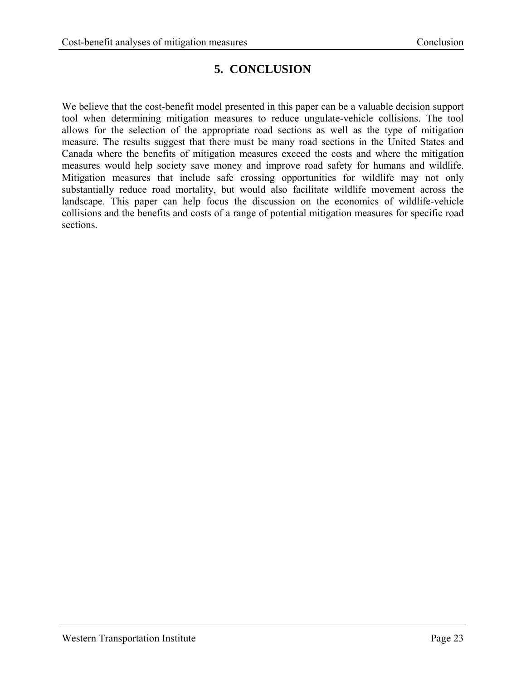# **5. CONCLUSION**

<span id="page-30-1"></span><span id="page-30-0"></span>We believe that the cost-benefit model presented in this paper can be a valuable decision support tool when determining mitigation measures to reduce ungulate-vehicle collisions. The tool allows for the selection of the appropriate road sections as well as the type of mitigation measure. The results suggest that there must be many road sections in the United States and Canada where the benefits of mitigation measures exceed the costs and where the mitigation measures would help society save money and improve road safety for humans and wildlife. Mitigation measures that include safe crossing opportunities for wildlife may not only substantially reduce road mortality, but would also facilitate wildlife movement across the landscape. This paper can help focus the discussion on the economics of wildlife-vehicle collisions and the benefits and costs of a range of potential mitigation measures for specific road sections.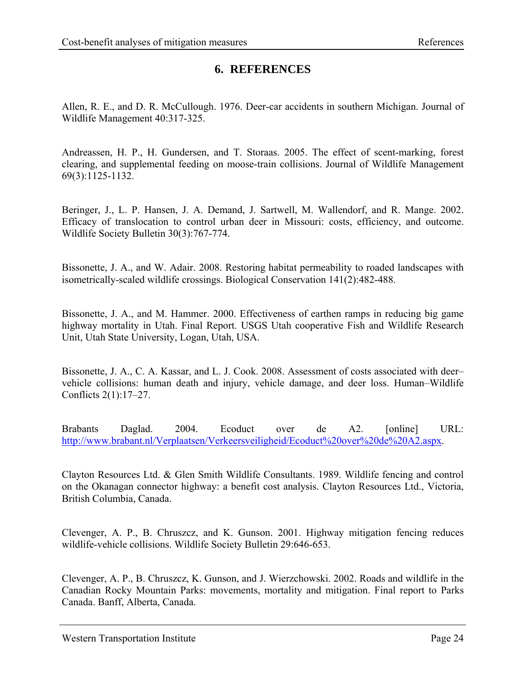### **6. REFERENCES**

<span id="page-31-1"></span><span id="page-31-0"></span>Allen, R. E., and D. R. McCullough. 1976. Deer-car accidents in southern Michigan. Journal of Wildlife Management 40:317-325.

Andreassen, H. P., H. Gundersen, and T. Storaas. 2005. The effect of scent-marking, forest clearing, and supplemental feeding on moose-train collisions. Journal of Wildlife Management 69(3):1125-1132.

Beringer, J., L. P. Hansen, J. A. Demand, J. Sartwell, M. Wallendorf, and R. Mange. 2002. Efficacy of translocation to control urban deer in Missouri: costs, efficiency, and outcome. Wildlife Society Bulletin 30(3):767-774.

Bissonette, J. A., and W. Adair. 2008. Restoring habitat permeability to roaded landscapes with isometrically-scaled wildlife crossings. Biological Conservation 141(2):482-488.

Bissonette, J. A., and M. Hammer. 2000. Effectiveness of earthen ramps in reducing big game highway mortality in Utah. Final Report. USGS Utah cooperative Fish and Wildlife Research Unit, Utah State University, Logan, Utah, USA.

Bissonette, J. A., C. A. Kassar, and L. J. Cook. 2008. Assessment of costs associated with deer– vehicle collisions: human death and injury, vehicle damage, and deer loss. Human–Wildlife Conflicts 2(1):17–27.

Brabants Daglad. 2004. Ecoduct over de A2. [online] URL: [http://www.brabant.nl/Verplaatsen/Verkeersveiligheid/Ecoduct%20over%20de%20A2.aspx](http://www.brabant.nl/Verplaatsen/Verkeersveiligheid/Ecoduct over de A2.aspx).

Clayton Resources Ltd. & Glen Smith Wildlife Consultants. 1989. Wildlife fencing and control on the Okanagan connector highway: a benefit cost analysis. Clayton Resources Ltd., Victoria, British Columbia, Canada.

Clevenger, A. P., B. Chruszcz, and K. Gunson. 2001. Highway mitigation fencing reduces wildlife-vehicle collisions. Wildlife Society Bulletin 29:646-653.

Clevenger, A. P., B. Chruszcz, K. Gunson, and J. Wierzchowski. 2002. Roads and wildlife in the Canadian Rocky Mountain Parks: movements, mortality and mitigation. Final report to Parks Canada. Banff, Alberta, Canada.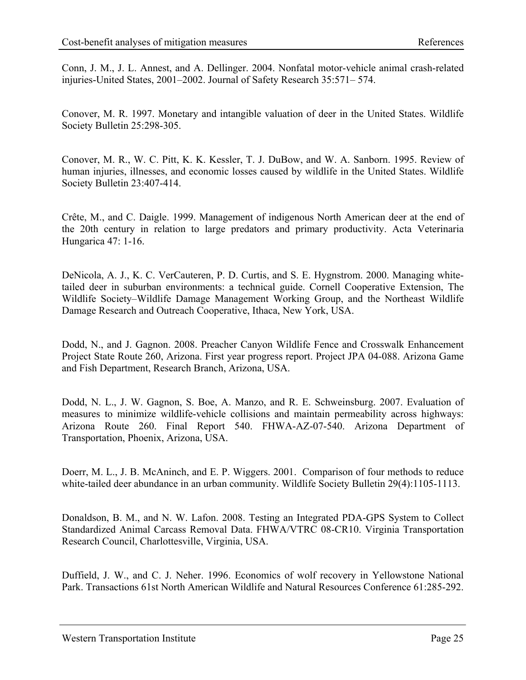Conn, J. M., J. L. Annest, and A. Dellinger. 2004. Nonfatal motor-vehicle animal crash-related injuries-United States, 2001–2002. Journal of Safety Research 35:571– 574.

Conover, M. R. 1997. Monetary and intangible valuation of deer in the United States. Wildlife Society Bulletin 25:298-305.

Conover, M. R., W. C. Pitt, K. K. Kessler, T. J. DuBow, and W. A. Sanborn. 1995. Review of human injuries, illnesses, and economic losses caused by wildlife in the United States. Wildlife Society Bulletin 23:407-414.

Crête, M., and C. Daigle. 1999. Management of indigenous North American deer at the end of the 20th century in relation to large predators and primary productivity. Acta Veterinaria Hungarica 47: 1-16.

DeNicola, A. J., K. C. VerCauteren, P. D. Curtis, and S. E. Hygnstrom. 2000. Managing whitetailed deer in suburban environments: a technical guide. Cornell Cooperative Extension, The Wildlife Society–Wildlife Damage Management Working Group, and the Northeast Wildlife Damage Research and Outreach Cooperative, Ithaca, New York, USA.

Dodd, N., and J. Gagnon. 2008. Preacher Canyon Wildlife Fence and Crosswalk Enhancement Project State Route 260, Arizona. First year progress report. Project JPA 04-088. Arizona Game and Fish Department, Research Branch, Arizona, USA.

Dodd, N. L., J. W. Gagnon, S. Boe, A. Manzo, and R. E. Schweinsburg. 2007. Evaluation of measures to minimize wildlife-vehicle collisions and maintain permeability across highways: Arizona Route 260. Final Report 540. FHWA-AZ-07-540. Arizona Department of Transportation, Phoenix, Arizona, USA.

Doerr, M. L., J. B. McAninch, and E. P. Wiggers. 2001. Comparison of four methods to reduce white-tailed deer abundance in an urban community. Wildlife Society Bulletin 29(4):1105-1113.

Donaldson, B. M., and N. W. Lafon. 2008. Testing an Integrated PDA-GPS System to Collect Standardized Animal Carcass Removal Data. FHWA/VTRC 08-CR10. Virginia Transportation Research Council, Charlottesville, Virginia, USA.

Duffield, J. W., and C. J. Neher. 1996. Economics of wolf recovery in Yellowstone National Park. Transactions 61st North American Wildlife and Natural Resources Conference 61:285-292.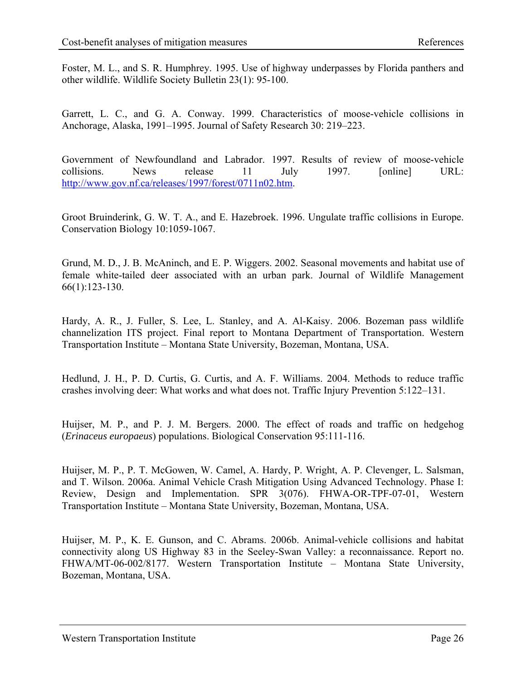Foster, M. L., and S. R. Humphrey. 1995. Use of highway underpasses by Florida panthers and other wildlife. Wildlife Society Bulletin 23(1): 95-100.

Garrett, L. C., and G. A. Conway. 1999. Characteristics of moose-vehicle collisions in Anchorage, Alaska, 1991–1995. Journal of Safety Research 30: 219–223.

Government of Newfoundland and Labrador. 1997. Results of review of moose-vehicle collisions. News release 11 July 1997. [online] URL: [http://www.gov.nf.ca/releases/1997/forest/0711n02.htm.](http://www.gov.nf.ca/releases/1997/forest/0711n02.htm)

Groot Bruinderink, G. W. T. A., and E. Hazebroek. 1996. Ungulate traffic collisions in Europe. Conservation Biology 10:1059-1067.

Grund, M. D., J. B. McAninch, and E. P. Wiggers. 2002. Seasonal movements and habitat use of female white-tailed deer associated with an urban park. Journal of Wildlife Management 66(1):123-130.

Hardy, A. R., J. Fuller, S. Lee, L. Stanley, and A. Al-Kaisy. 2006. Bozeman pass wildlife channelization ITS project. Final report to Montana Department of Transportation. Western Transportation Institute – Montana State University, Bozeman, Montana, USA.

Hedlund, J. H., P. D. Curtis, G. Curtis, and A. F. Williams. 2004. Methods to reduce traffic crashes involving deer: What works and what does not. Traffic Injury Prevention 5:122–131.

Huijser, M. P., and P. J. M. Bergers. 2000. The effect of roads and traffic on hedgehog (*Erinaceus europaeus*) populations. Biological Conservation 95:111-116.

Huijser, M. P., P. T. McGowen, W. Camel, A. Hardy, P. Wright, A. P. Clevenger, L. Salsman, and T. Wilson. 2006a. Animal Vehicle Crash Mitigation Using Advanced Technology. Phase I: Review, Design and Implementation. SPR 3(076). FHWA-OR-TPF-07-01, Western Transportation Institute – Montana State University, Bozeman, Montana, USA.

Huijser, M. P., K. E. Gunson, and C. Abrams. 2006b. Animal-vehicle collisions and habitat connectivity along US Highway 83 in the Seeley-Swan Valley: a reconnaissance. Report no. FHWA/MT-06-002/8177. Western Transportation Institute – Montana State University, Bozeman, Montana, USA.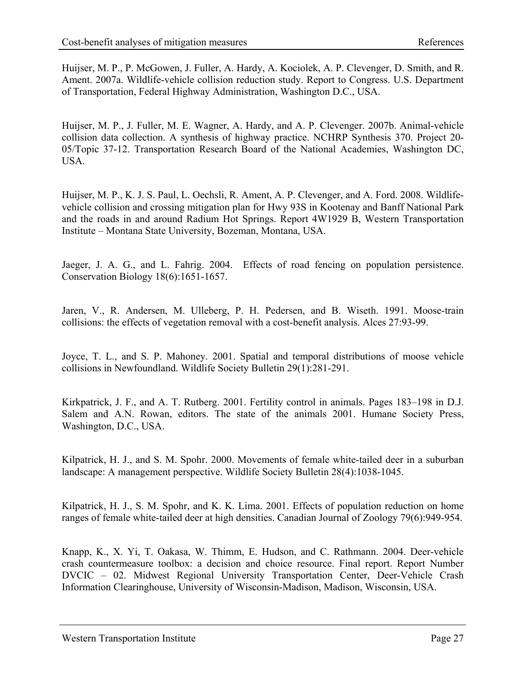Huijser, M. P., P. McGowen, J. Fuller, A. Hardy, A. Kociolek, A. P. Clevenger, D. Smith, and R. Ament. 2007a. Wildlife-vehicle collision reduction study. Report to Congress. U.S. Department of Transportation, Federal Highway Administration, Washington D.C., USA.

Huijser, M. P., J. Fuller, M. E. Wagner, A. Hardy, and A. P. Clevenger. 2007b. Animal-vehicle collision data collection. A synthesis of highway practice. NCHRP Synthesis 370. Project 20- 05/Topic 37-12. Transportation Research Board of the National Academies, Washington DC, USA.

Huijser, M. P., K. J. S. Paul, L. Oechsli, R. Ament, A. P. Clevenger, and A. Ford. 2008. Wildlifevehicle collision and crossing mitigation plan for Hwy 93S in Kootenay and Banff National Park and the roads in and around Radium Hot Springs. Report 4W1929 B, Western Transportation Institute – Montana State University, Bozeman, Montana, USA.

Jaeger, J. A. G., and L. Fahrig. 2004. Effects of road fencing on population persistence. Conservation Biology 18(6):1651-1657.

Jaren, V., R. Andersen, M. Ulleberg, P. H. Pedersen, and B. Wiseth. 1991. Moose-train collisions: the effects of vegetation removal with a cost-benefit analysis. Alces 27:93-99.

Joyce, T. L., and S. P. Mahoney. 2001. Spatial and temporal distributions of moose vehicle collisions in Newfoundland. Wildlife Society Bulletin 29(1):281-291.

Kirkpatrick, J. F., and A. T. Rutberg. 2001. Fertility control in animals. Pages 183–198 in D.J. Salem and A.N. Rowan, editors. The state of the animals 2001. Humane Society Press, Washington, D.C., USA.

Kilpatrick, H. J., and S. M. Spohr. 2000. Movements of female white-tailed deer in a suburban landscape: A management perspective. Wildlife Society Bulletin 28(4):1038-1045.

Kilpatrick, H. J., S. M. Spohr, and K. K. Lima. 2001. Effects of population reduction on home ranges of female white-tailed deer at high densities. Canadian Journal of Zoology 79(6):949-954.

Knapp, K., X. Yi, T. Oakasa, W. Thimm, E. Hudson, and C. Rathmann. 2004. Deer-vehicle crash countermeasure toolbox: a decision and choice resource. Final report. Report Number DVCIC – 02. Midwest Regional University Transportation Center, Deer-Vehicle Crash Information Clearinghouse, University of Wisconsin-Madison, Madison, Wisconsin, USA.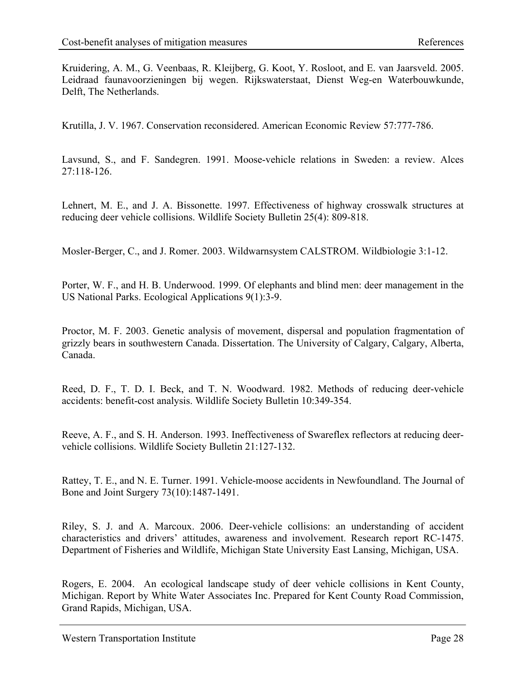Kruidering, A. M., G. Veenbaas, R. Kleijberg, G. Koot, Y. Rosloot, and E. van Jaarsveld. 2005. Leidraad faunavoorzieningen bij wegen. Rijkswaterstaat, Dienst Weg-en Waterbouwkunde, Delft, The Netherlands.

Krutilla, J. V. 1967. Conservation reconsidered. American Economic Review 57:777-786.

Lavsund, S., and F. Sandegren. 1991. Moose-vehicle relations in Sweden: a review. Alces 27:118-126.

Lehnert, M. E., and J. A. Bissonette. 1997. Effectiveness of highway crosswalk structures at reducing deer vehicle collisions. Wildlife Society Bulletin 25(4): 809-818.

Mosler-Berger, C., and J. Romer. 2003. Wildwarnsystem CALSTROM. Wildbiologie 3:1-12.

Porter, W. F., and H. B. Underwood. 1999. Of elephants and blind men: deer management in the US National Parks. Ecological Applications 9(1):3-9.

Proctor, M. F. 2003. Genetic analysis of movement, dispersal and population fragmentation of grizzly bears in southwestern Canada. Dissertation. The University of Calgary, Calgary, Alberta, Canada.

Reed, D. F., T. D. I. Beck, and T. N. Woodward. 1982. Methods of reducing deer-vehicle accidents: benefit-cost analysis. Wildlife Society Bulletin 10:349-354.

Reeve, A. F., and S. H. Anderson. 1993. Ineffectiveness of Swareflex reflectors at reducing deervehicle collisions. Wildlife Society Bulletin 21:127-132.

Rattey, T. E., and N. E. Turner. 1991. Vehicle-moose accidents in Newfoundland. The Journal of Bone and Joint Surgery 73(10):1487-1491.

Riley, S. J. and A. Marcoux. 2006. Deer-vehicle collisions: an understanding of accident characteristics and drivers' attitudes, awareness and involvement. Research report RC-1475. Department of Fisheries and Wildlife, Michigan State University East Lansing, Michigan, USA.

Rogers, E. 2004. An ecological landscape study of deer vehicle collisions in Kent County, Michigan. Report by White Water Associates Inc. Prepared for Kent County Road Commission, Grand Rapids, Michigan, USA.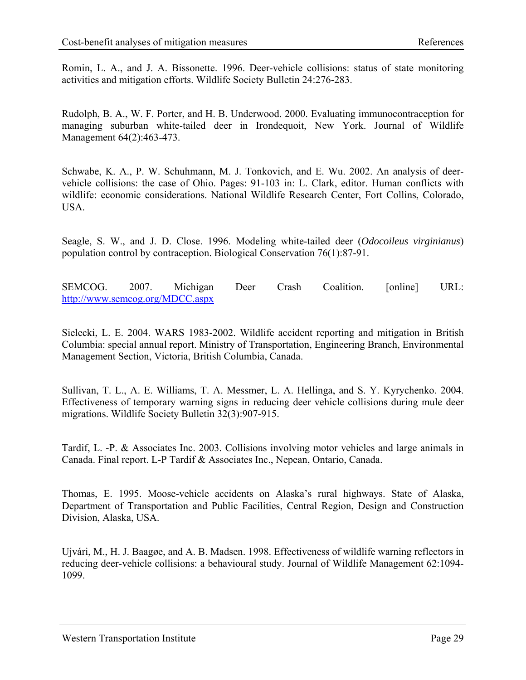Romin, L. A., and J. A. Bissonette. 1996. Deer-vehicle collisions: status of state monitoring activities and mitigation efforts. Wildlife Society Bulletin 24:276-283.

Rudolph, B. A., W. F. Porter, and H. B. Underwood. 2000. Evaluating immunocontraception for managing suburban white-tailed deer in Irondequoit, New York. Journal of Wildlife Management 64(2):463-473.

Schwabe, K. A., P. W. Schuhmann, M. J. Tonkovich, and E. Wu. 2002. An analysis of deervehicle collisions: the case of Ohio. Pages: 91-103 in: L. Clark, editor. Human conflicts with wildlife: economic considerations. National Wildlife Research Center, Fort Collins, Colorado, USA.

Seagle, S. W., and J. D. Close. 1996. Modeling white-tailed deer (*Odocoileus virginianus*) population control by contraception. Biological Conservation 76(1):87-91.

SEMCOG. 2007. Michigan Deer Crash Coalition. [online] URL: <http://www.semcog.org/MDCC.aspx>

Sielecki, L. E. 2004. WARS 1983-2002. Wildlife accident reporting and mitigation in British Columbia: special annual report. Ministry of Transportation, Engineering Branch, Environmental Management Section, Victoria, British Columbia, Canada.

Sullivan, T. L., A. E. Williams, T. A. Messmer, L. A. Hellinga, and S. Y. Kyrychenko. 2004. Effectiveness of temporary warning signs in reducing deer vehicle collisions during mule deer migrations. Wildlife Society Bulletin 32(3):907-915.

Tardif, L. -P. & Associates Inc. 2003. Collisions involving motor vehicles and large animals in Canada. Final report. L-P Tardif & Associates Inc., Nepean, Ontario, Canada.

Thomas, E. 1995. Moose-vehicle accidents on Alaska's rural highways. State of Alaska, Department of Transportation and Public Facilities, Central Region, Design and Construction Division, Alaska, USA.

Ujvári, M., H. J. Baagøe, and A. B. Madsen. 1998. Effectiveness of wildlife warning reflectors in reducing deer-vehicle collisions: a behavioural study. Journal of Wildlife Management 62:1094- 1099.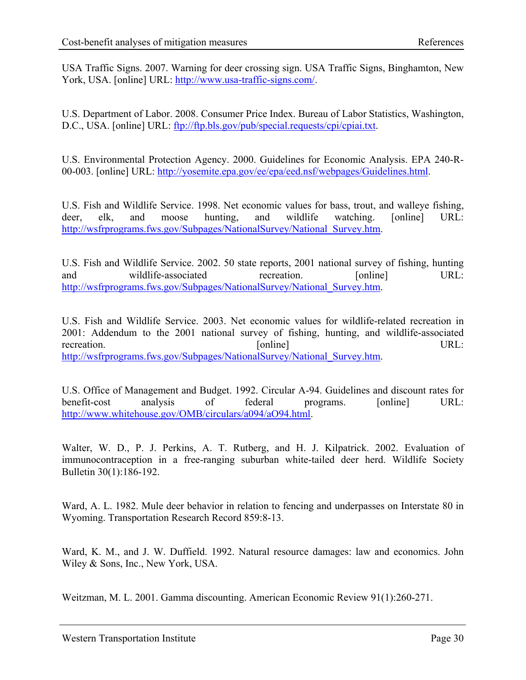USA Traffic Signs. 2007. Warning for deer crossing sign. USA Traffic Signs, Binghamton, New York, USA. [online] URL: [http://www.usa-traffic-signs.com/.](http://www.usa-traffic-signs.com/)

U.S. Department of Labor. 2008. Consumer Price Index. Bureau of Labor Statistics, Washington, D.C., USA. [online] URL: <ftp://ftp.bls.gov/pub/special.requests/cpi/cpiai.txt>.

U.S. Environmental Protection Agency. 2000. Guidelines for Economic Analysis. EPA 240-R-00-003. [online] URL: [http://yosemite.epa.gov/ee/epa/eed.nsf/webpages/Guidelines.html.](http://yosemite.epa.gov/ee/epa/eed.nsf/webpages/Guidelines.html)

U.S. Fish and Wildlife Service. 1998. Net economic values for bass, trout, and walleye fishing, deer, elk, and moose hunting, and wildlife watching. [online] URL: [http://wsfrprograms.fws.gov/Subpages/NationalSurvey/National\\_Survey.htm.](http://wsfrprograms.fws.gov/Subpages/NationalSurvey/National_Survey.htm)

U.S. Fish and Wildlife Service. 2002. 50 state reports, 2001 national survey of fishing, hunting and wildlife-associated recreation. [online] URL: [http://wsfrprograms.fws.gov/Subpages/NationalSurvey/National\\_Survey.htm.](http://wsfrprograms.fws.gov/Subpages/NationalSurvey/National_Survey.htm)

U.S. Fish and Wildlife Service. 2003. Net economic values for wildlife-related recreation in 2001: Addendum to the 2001 national survey of fishing, hunting, and wildlife-associated recreation. [online] URL: [http://wsfrprograms.fws.gov/Subpages/NationalSurvey/National\\_Survey.htm.](http://wsfrprograms.fws.gov/Subpages/NationalSurvey/National_Survey.htm)

U.S. Office of Management and Budget. 1992. Circular A-94. Guidelines and discount rates for benefit-cost analysis of federal programs. [online] URL: [http://www.whitehouse.gov/OMB/circulars/a094/aO94.html.](http://www.whitehouse.gov/OMB/circulars/a094/aO94.html)

Walter, W. D., P. J. Perkins, A. T. Rutberg, and H. J. Kilpatrick. 2002. Evaluation of immunocontraception in a free-ranging suburban white-tailed deer herd. Wildlife Society Bulletin 30(1):186-192.

Ward, A. L. 1982. Mule deer behavior in relation to fencing and underpasses on Interstate 80 in Wyoming. Transportation Research Record 859:8-13.

Ward, K. M., and J. W. Duffield. 1992. Natural resource damages: law and economics. John Wiley & Sons, Inc., New York, USA.

Weitzman, M. L. 2001. Gamma discounting. American Economic Review 91(1):260-271.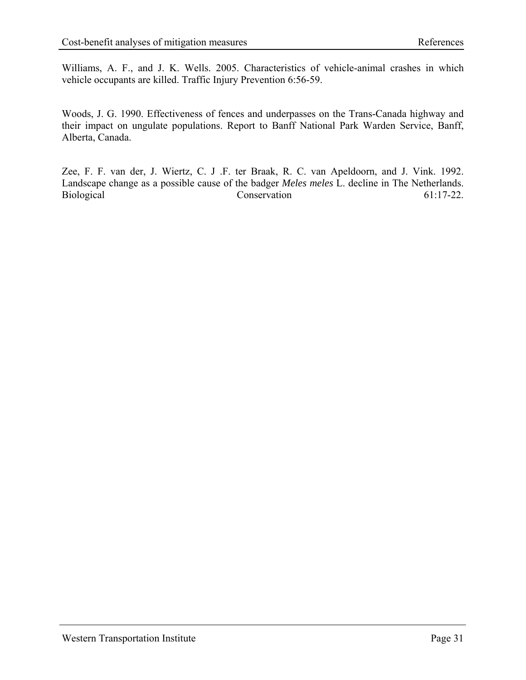Williams, A. F., and J. K. Wells. 2005. Characteristics of vehicle-animal crashes in which vehicle occupants are killed. Traffic Injury Prevention 6:56-59.

Woods, J. G. 1990. Effectiveness of fences and underpasses on the Trans-Canada highway and their impact on ungulate populations. Report to Banff National Park Warden Service, Banff, Alberta, Canada.

Zee, F. F. van der, J. Wiertz, C. J .F. ter Braak, R. C. van Apeldoorn, and J. Vink. 1992. Landscape change as a possible cause of the badger *Meles meles* L. decline in The Netherlands. Biological Conservation 61:17-22.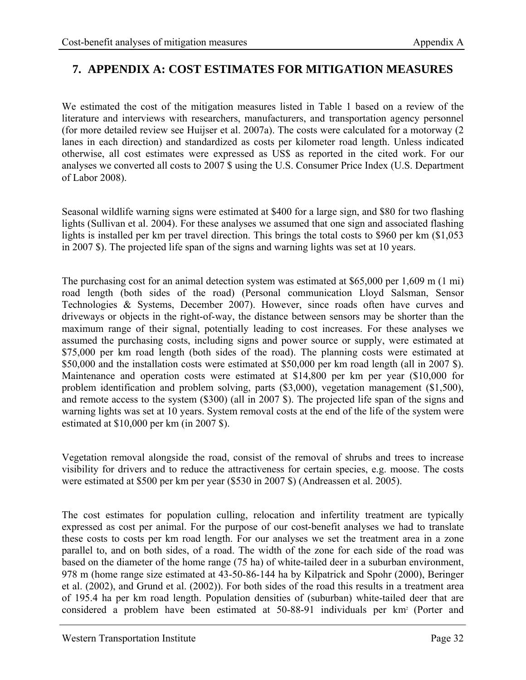### <span id="page-39-0"></span>**7. APPENDIX A: COST ESTIMATES FOR MITIGATION MEASURES**

<span id="page-39-1"></span>We estimated the cost of the mitigation measures listed in Table 1 based on a review of the literature and interviews with researchers, manufacturers, and transportation agency personnel (for more detailed review see Huijser et al. 2007a). The costs were calculated for a motorway (2 lanes in each direction) and standardized as costs per kilometer road length. Unless indicated otherwise, all cost estimates were expressed as US\$ as reported in the cited work. For our analyses we converted all costs to 2007 \$ using the U.S. Consumer Price Index (U.S. Department of Labor 2008).

Seasonal wildlife warning signs were estimated at \$400 for a large sign, and \$80 for two flashing lights (Sullivan et al. 2004). For these analyses we assumed that one sign and associated flashing lights is installed per km per travel direction. This brings the total costs to \$960 per km (\$1,053) in 2007 \$). The projected life span of the signs and warning lights was set at 10 years.

The purchasing cost for an animal detection system was estimated at \$65,000 per 1,609 m (1 mi) road length (both sides of the road) (Personal communication Lloyd Salsman, Sensor Technologies & Systems, December 2007). However, since roads often have curves and driveways or objects in the right-of-way, the distance between sensors may be shorter than the maximum range of their signal, potentially leading to cost increases. For these analyses we assumed the purchasing costs, including signs and power source or supply, were estimated at \$75,000 per km road length (both sides of the road). The planning costs were estimated at \$50,000 and the installation costs were estimated at \$50,000 per km road length (all in 2007 \$). Maintenance and operation costs were estimated at \$14,800 per km per year (\$10,000 for problem identification and problem solving, parts (\$3,000), vegetation management (\$1,500), and remote access to the system (\$300) (all in 2007 \$). The projected life span of the signs and warning lights was set at 10 years. System removal costs at the end of the life of the system were estimated at \$10,000 per km (in 2007 \$).

Vegetation removal alongside the road, consist of the removal of shrubs and trees to increase visibility for drivers and to reduce the attractiveness for certain species, e.g. moose. The costs were estimated at \$500 per km per year (\$530 in 2007 \$) (Andreassen et al. 2005).

The cost estimates for population culling, relocation and infertility treatment are typically expressed as cost per animal. For the purpose of our cost-benefit analyses we had to translate these costs to costs per km road length. For our analyses we set the treatment area in a zone parallel to, and on both sides, of a road. The width of the zone for each side of the road was based on the diameter of the home range (75 ha) of white-tailed deer in a suburban environment, 978 m (home range size estimated at 43-50-86-144 ha by Kilpatrick and Spohr (2000), Beringer et al. (2002), and Grund et al. (2002)). For both sides of the road this results in a treatment area of 195.4 ha per km road length. Population densities of (suburban) white-tailed deer that are considered a problem have been estimated at 50-88-91 individuals per km<sup>2</sup> (Porter and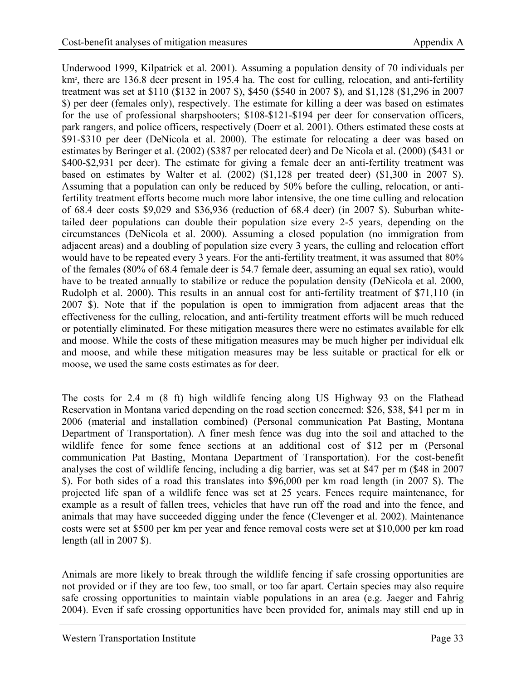Underwood 1999, Kilpatrick et al. 2001). Assuming a population density of 70 individuals per km<sup>2</sup>, there are 136.8 deer present in 195.4 ha. The cost for culling, relocation, and anti-fertility treatment was set at \$110 (\$132 in 2007 \$), \$450 (\$540 in 2007 \$), and \$1,128 (\$1,296 in 2007 \$) per deer (females only), respectively. The estimate for killing a deer was based on estimates for the use of professional sharpshooters; \$108-\$121-\$194 per deer for conservation officers, park rangers, and police officers, respectively (Doerr et al. 2001). Others estimated these costs at \$91-\$310 per deer (DeNicola et al. 2000). The estimate for relocating a deer was based on estimates by Beringer et al. (2002) (\$387 per relocated deer) and De Nicola et al. (2000) (\$431 or \$400-\$2,931 per deer). The estimate for giving a female deer an anti-fertility treatment was based on estimates by Walter et al. (2002) (\$1,128 per treated deer) (\$1,300 in 2007 \$). Assuming that a population can only be reduced by 50% before the culling, relocation, or antifertility treatment efforts become much more labor intensive, the one time culling and relocation of 68.4 deer costs \$9,029 and \$36,936 (reduction of 68.4 deer) (in 2007 \$). Suburban whitetailed deer populations can double their population size every 2-5 years, depending on the circumstances (DeNicola et al. 2000). Assuming a closed population (no immigration from adjacent areas) and a doubling of population size every 3 years, the culling and relocation effort would have to be repeated every 3 years. For the anti-fertility treatment, it was assumed that 80% of the females (80% of 68.4 female deer is 54.7 female deer, assuming an equal sex ratio), would have to be treated annually to stabilize or reduce the population density (DeNicola et al. 2000, Rudolph et al. 2000). This results in an annual cost for anti-fertility treatment of \$71,110 (in 2007 \$). Note that if the population is open to immigration from adjacent areas that the effectiveness for the culling, relocation, and anti-fertility treatment efforts will be much reduced or potentially eliminated. For these mitigation measures there were no estimates available for elk and moose. While the costs of these mitigation measures may be much higher per individual elk and moose, and while these mitigation measures may be less suitable or practical for elk or moose, we used the same costs estimates as for deer.

The costs for 2.4 m (8 ft) high wildlife fencing along US Highway 93 on the Flathead Reservation in Montana varied depending on the road section concerned: \$26, \$38, \$41 per m in 2006 (material and installation combined) (Personal communication Pat Basting, Montana Department of Transportation). A finer mesh fence was dug into the soil and attached to the wildlife fence for some fence sections at an additional cost of \$12 per m (Personal communication Pat Basting, Montana Department of Transportation). For the cost-benefit analyses the cost of wildlife fencing, including a dig barrier, was set at \$47 per m (\$48 in 2007 \$). For both sides of a road this translates into \$96,000 per km road length (in 2007 \$). The projected life span of a wildlife fence was set at 25 years. Fences require maintenance, for example as a result of fallen trees, vehicles that have run off the road and into the fence, and animals that may have succeeded digging under the fence (Clevenger et al. 2002). Maintenance costs were set at \$500 per km per year and fence removal costs were set at \$10,000 per km road length (all in 2007 \$).

Animals are more likely to break through the wildlife fencing if safe crossing opportunities are not provided or if they are too few, too small, or too far apart. Certain species may also require safe crossing opportunities to maintain viable populations in an area (e.g. Jaeger and Fahrig 2004). Even if safe crossing opportunities have been provided for, animals may still end up in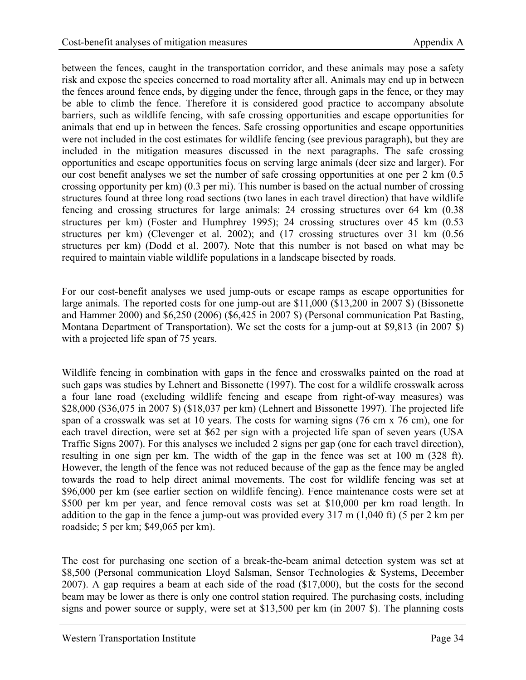between the fences, caught in the transportation corridor, and these animals may pose a safety risk and expose the species concerned to road mortality after all. Animals may end up in between the fences around fence ends, by digging under the fence, through gaps in the fence, or they may be able to climb the fence. Therefore it is considered good practice to accompany absolute barriers, such as wildlife fencing, with safe crossing opportunities and escape opportunities for animals that end up in between the fences. Safe crossing opportunities and escape opportunities were not included in the cost estimates for wildlife fencing (see previous paragraph), but they are included in the mitigation measures discussed in the next paragraphs. The safe crossing opportunities and escape opportunities focus on serving large animals (deer size and larger). For our cost benefit analyses we set the number of safe crossing opportunities at one per 2 km (0.5 crossing opportunity per km) (0.3 per mi). This number is based on the actual number of crossing structures found at three long road sections (two lanes in each travel direction) that have wildlife fencing and crossing structures for large animals: 24 crossing structures over 64 km (0.38 structures per km) (Foster and Humphrey 1995); 24 crossing structures over 45 km (0.53 structures per km) (Clevenger et al. 2002); and (17 crossing structures over 31 km (0.56 structures per km) (Dodd et al. 2007). Note that this number is not based on what may be required to maintain viable wildlife populations in a landscape bisected by roads.

For our cost-benefit analyses we used jump-outs or escape ramps as escape opportunities for large animals. The reported costs for one jump-out are \$11,000 (\$13,200 in 2007 \$) (Bissonette and Hammer 2000) and \$6,250 (2006) (\$6,425 in 2007 \$) (Personal communication Pat Basting, Montana Department of Transportation). We set the costs for a jump-out at \$9,813 (in 2007 \$) with a projected life span of 75 years.

Wildlife fencing in combination with gaps in the fence and crosswalks painted on the road at such gaps was studies by Lehnert and Bissonette (1997). The cost for a wildlife crosswalk across a four lane road (excluding wildlife fencing and escape from right-of-way measures) was \$28,000 (\$36,075 in 2007 \$) (\$18,037 per km) (Lehnert and Bissonette 1997). The projected life span of a crosswalk was set at 10 years. The costs for warning signs (76 cm x 76 cm), one for each travel direction, were set at \$62 per sign with a projected life span of seven years (USA Traffic Signs 2007). For this analyses we included 2 signs per gap (one for each travel direction), resulting in one sign per km. The width of the gap in the fence was set at 100 m (328 ft). However, the length of the fence was not reduced because of the gap as the fence may be angled towards the road to help direct animal movements. The cost for wildlife fencing was set at \$96,000 per km (see earlier section on wildlife fencing). Fence maintenance costs were set at \$500 per km per year, and fence removal costs was set at \$10,000 per km road length. In addition to the gap in the fence a jump-out was provided every 317 m (1,040 ft) (5 per 2 km per roadside; 5 per km; \$49,065 per km).

The cost for purchasing one section of a break-the-beam animal detection system was set at \$8,500 (Personal communication Lloyd Salsman, Sensor Technologies & Systems, December 2007). A gap requires a beam at each side of the road (\$17,000), but the costs for the second beam may be lower as there is only one control station required. The purchasing costs, including signs and power source or supply, were set at \$13,500 per km (in 2007 \$). The planning costs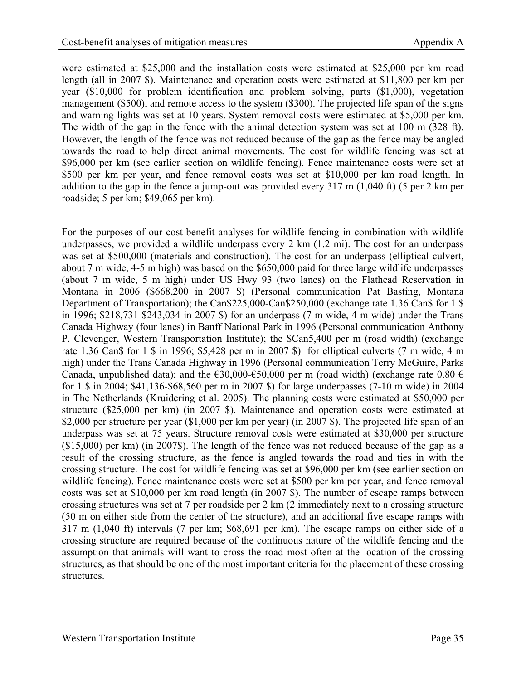were estimated at \$25,000 and the installation costs were estimated at \$25,000 per km road length (all in 2007 \$). Maintenance and operation costs were estimated at \$11,800 per km per year (\$10,000 for problem identification and problem solving, parts (\$1,000), vegetation management (\$500), and remote access to the system (\$300). The projected life span of the signs and warning lights was set at 10 years. System removal costs were estimated at \$5,000 per km. The width of the gap in the fence with the animal detection system was set at 100 m (328 ft). However, the length of the fence was not reduced because of the gap as the fence may be angled towards the road to help direct animal movements. The cost for wildlife fencing was set at \$96,000 per km (see earlier section on wildlife fencing). Fence maintenance costs were set at \$500 per km per year, and fence removal costs was set at \$10,000 per km road length. In addition to the gap in the fence a jump-out was provided every 317 m (1,040 ft) (5 per 2 km per roadside; 5 per km; \$49,065 per km).

For the purposes of our cost-benefit analyses for wildlife fencing in combination with wildlife underpasses, we provided a wildlife underpass every 2 km (1.2 mi). The cost for an underpass was set at \$500,000 (materials and construction). The cost for an underpass (elliptical culvert, about 7 m wide, 4-5 m high) was based on the \$650,000 paid for three large wildlife underpasses (about 7 m wide, 5 m high) under US Hwy 93 (two lanes) on the Flathead Reservation in Montana in 2006 (\$668,200 in 2007 \$) (Personal communication Pat Basting, Montana Department of Transportation); the Can\$225,000-Can\$250,000 (exchange rate 1.36 Can\$ for 1 \$ in 1996; \$218,731-\$243,034 in 2007 \$) for an underpass (7 m wide, 4 m wide) under the Trans Canada Highway (four lanes) in Banff National Park in 1996 (Personal communication Anthony P. Clevenger, Western Transportation Institute); the \$Can5,400 per m (road width) (exchange rate 1.36 Can\$ for 1 \$ in 1996; \$5,428 per m in 2007 \$) for elliptical culverts (7 m wide, 4 m high) under the Trans Canada Highway in 1996 (Personal communication Terry McGuire, Parks Canada, unpublished data); and the  $\epsilon$ 30,000- $\epsilon$ 50,000 per m (road width) (exchange rate 0.80  $\epsilon$ for 1 \$ in 2004; \$41,136-\$68,560 per m in 2007 \$) for large underpasses (7-10 m wide) in 2004 in The Netherlands (Kruidering et al. 2005). The planning costs were estimated at \$50,000 per structure (\$25,000 per km) (in 2007 \$). Maintenance and operation costs were estimated at \$2,000 per structure per year (\$1,000 per km per year) (in 2007 \$). The projected life span of an underpass was set at 75 years. Structure removal costs were estimated at \$30,000 per structure (\$15,000) per km) (in 2007\$). The length of the fence was not reduced because of the gap as a result of the crossing structure, as the fence is angled towards the road and ties in with the crossing structure. The cost for wildlife fencing was set at \$96,000 per km (see earlier section on wildlife fencing). Fence maintenance costs were set at \$500 per km per year, and fence removal costs was set at \$10,000 per km road length (in 2007 \$). The number of escape ramps between crossing structures was set at 7 per roadside per 2 km (2 immediately next to a crossing structure (50 m on either side from the center of the structure), and an additional five escape ramps with 317 m (1,040 ft) intervals (7 per km; \$68,691 per km). The escape ramps on either side of a crossing structure are required because of the continuous nature of the wildlife fencing and the assumption that animals will want to cross the road most often at the location of the crossing structures, as that should be one of the most important criteria for the placement of these crossing structures.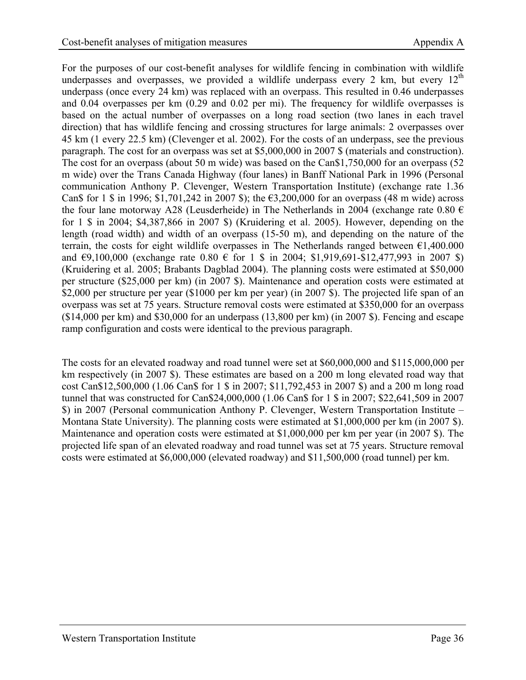For the purposes of our cost-benefit analyses for wildlife fencing in combination with wildlife underpasses and overpasses, we provided a wildlife underpass every 2 km, but every  $12<sup>th</sup>$ underpass (once every 24 km) was replaced with an overpass. This resulted in 0.46 underpasses and 0.04 overpasses per km (0.29 and 0.02 per mi). The frequency for wildlife overpasses is based on the actual number of overpasses on a long road section (two lanes in each travel direction) that has wildlife fencing and crossing structures for large animals: 2 overpasses over 45 km (1 every 22.5 km) (Clevenger et al. 2002). For the costs of an underpass, see the previous paragraph. The cost for an overpass was set at \$5,000,000 in 2007 \$ (materials and construction). The cost for an overpass (about 50 m wide) was based on the Can\$1,750,000 for an overpass (52 m wide) over the Trans Canada Highway (four lanes) in Banff National Park in 1996 (Personal communication Anthony P. Clevenger, Western Transportation Institute) (exchange rate 1.36 Can\$ for 1 \$ in 1996; \$1,701,242 in 2007 \$); the €3,200,000 for an overpass (48 m wide) across the four lane motorway A28 (Leusderheide) in The Netherlands in 2004 (exchange rate 0.80  $\epsilon$ for 1 \$ in 2004; \$4,387,866 in 2007 \$) (Kruidering et al. 2005). However, depending on the length (road width) and width of an overpass (15-50 m), and depending on the nature of the terrain, the costs for eight wildlife overpasses in The Netherlands ranged between  $\epsilon$ 1,400.000 and  $\epsilon$ 9,100,000 (exchange rate 0.80  $\epsilon$  for 1 \$ in 2004; \$1,919,691-\$12,477,993 in 2007 \$) (Kruidering et al. 2005; Brabants Dagblad 2004). The planning costs were estimated at \$50,000 per structure (\$25,000 per km) (in 2007 \$). Maintenance and operation costs were estimated at \$2,000 per structure per year (\$1000 per km per year) (in 2007 \$). The projected life span of an overpass was set at 75 years. Structure removal costs were estimated at \$350,000 for an overpass (\$14,000 per km) and \$30,000 for an underpass (13,800 per km) (in 2007 \$). Fencing and escape ramp configuration and costs were identical to the previous paragraph.

The costs for an elevated roadway and road tunnel were set at \$60,000,000 and \$115,000,000 per km respectively (in 2007 \$). These estimates are based on a 200 m long elevated road way that cost Can\$12,500,000 (1.06 Can\$ for 1 \$ in 2007; \$11,792,453 in 2007 \$) and a 200 m long road tunnel that was constructed for Can\$24,000,000 (1.06 Can\$ for 1 \$ in 2007; \$22,641,509 in 2007 \$) in 2007 (Personal communication Anthony P. Clevenger, Western Transportation Institute – Montana State University). The planning costs were estimated at \$1,000,000 per km (in 2007 \$). Maintenance and operation costs were estimated at \$1,000,000 per km per year (in 2007 \$). The projected life span of an elevated roadway and road tunnel was set at 75 years. Structure removal costs were estimated at \$6,000,000 (elevated roadway) and \$11,500,000 (road tunnel) per km.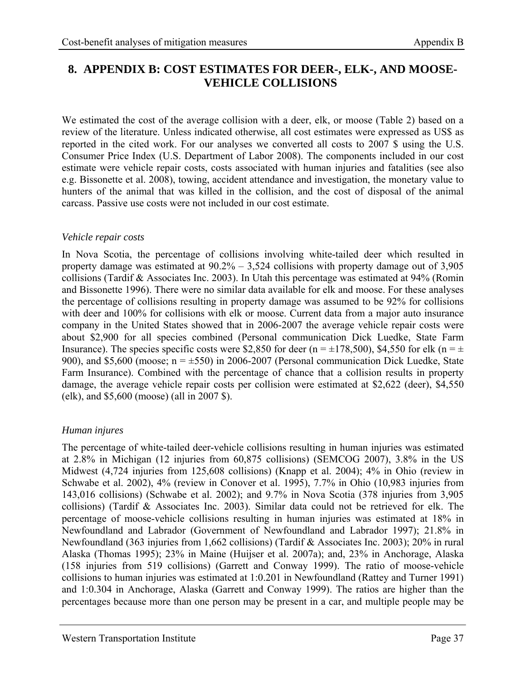## <span id="page-44-1"></span><span id="page-44-0"></span>**8. APPENDIX B: COST ESTIMATES FOR DEER-, ELK-, AND MOOSE-VEHICLE COLLISIONS**

We estimated the cost of the average collision with a deer, elk, or moose (Table 2) based on a review of the literature. Unless indicated otherwise, all cost estimates were expressed as US\$ as reported in the cited work. For our analyses we converted all costs to 2007 \$ using the U.S. Consumer Price Index (U.S. Department of Labor 2008). The components included in our cost estimate were vehicle repair costs, costs associated with human injuries and fatalities (see also e.g. Bissonette et al. 2008), towing, accident attendance and investigation, the monetary value to hunters of the animal that was killed in the collision, and the cost of disposal of the animal carcass. Passive use costs were not included in our cost estimate.

#### *Vehicle repair costs*

In Nova Scotia, the percentage of collisions involving white-tailed deer which resulted in property damage was estimated at 90.2% – 3,524 collisions with property damage out of 3,905 collisions (Tardif & Associates Inc. 2003). In Utah this percentage was estimated at 94% (Romin and Bissonette 1996). There were no similar data available for elk and moose. For these analyses the percentage of collisions resulting in property damage was assumed to be 92% for collisions with deer and 100% for collisions with elk or moose. Current data from a major auto insurance company in the United States showed that in 2006-2007 the average vehicle repair costs were about \$2,900 for all species combined (Personal communication Dick Luedke, State Farm Insurance). The species specific costs were \$2,850 for deer (n =  $\pm$ 178,500), \$4,550 for elk (n =  $\pm$ 900), and \$5,600 (moose;  $n = \pm 550$ ) in 2006-2007 (Personal communication Dick Luedke, State Farm Insurance). Combined with the percentage of chance that a collision results in property damage, the average vehicle repair costs per collision were estimated at \$2,622 (deer), \$4,550 (elk), and \$5,600 (moose) (all in 2007 \$).

#### *Human injures*

The percentage of white-tailed deer-vehicle collisions resulting in human injuries was estimated at 2.8% in Michigan (12 injuries from 60,875 collisions) (SEMCOG 2007), 3.8% in the US Midwest (4,724 injuries from 125,608 collisions) (Knapp et al. 2004); 4% in Ohio (review in Schwabe et al. 2002), 4% (review in Conover et al. 1995), 7.7% in Ohio (10,983 injuries from 143,016 collisions) (Schwabe et al. 2002); and 9.7% in Nova Scotia (378 injuries from 3,905 collisions) (Tardif & Associates Inc. 2003). Similar data could not be retrieved for elk. The percentage of moose-vehicle collisions resulting in human injuries was estimated at 18% in Newfoundland and Labrador (Government of Newfoundland and Labrador 1997); 21.8% in Newfoundland (363 injuries from 1,662 collisions) (Tardif & Associates Inc. 2003); 20% in rural Alaska (Thomas 1995); 23% in Maine (Huijser et al. 2007a); and, 23% in Anchorage, Alaska (158 injuries from 519 collisions) (Garrett and Conway 1999). The ratio of moose-vehicle collisions to human injuries was estimated at 1:0.201 in Newfoundland (Rattey and Turner 1991) and 1:0.304 in Anchorage, Alaska (Garrett and Conway 1999). The ratios are higher than the percentages because more than one person may be present in a car, and multiple people may be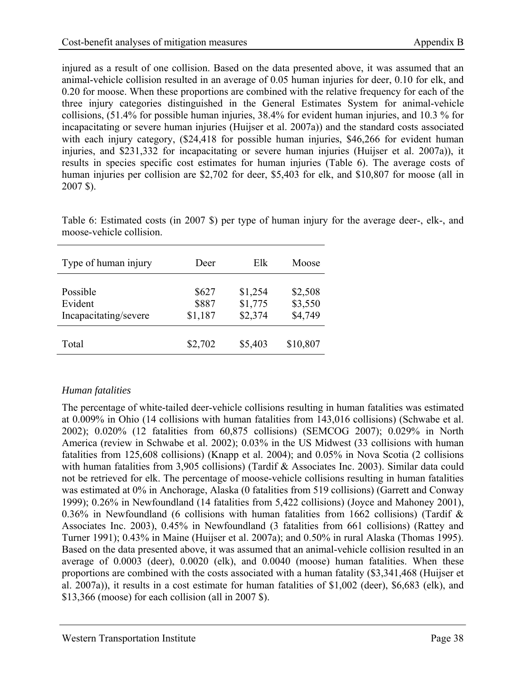<span id="page-45-0"></span>injured as a result of one collision. Based on the data presented above, it was assumed that an animal-vehicle collision resulted in an average of 0.05 human injuries for deer, 0.10 for elk, and 0.20 for moose. When these proportions are combined with the relative frequency for each of the three injury categories distinguished in the General Estimates System for animal-vehicle collisions, (51.4% for possible human injuries, 38.4% for evident human injuries, and 10.3 % for incapacitating or severe human injuries (Huijser et al. 2007a)) and the standard costs associated with each injury category,  $(\$24,418$  for possible human injuries, \$46,266 for evident human injuries, and \$231,332 for incapacitating or severe human injuries (Huijser et al. 2007a)), it results in species specific cost estimates for human injuries (Table 6). The average costs of human injuries per collision are \$2,702 for deer, \$5,403 for elk, and \$10,807 for moose (all in 2007 \$).

<span id="page-45-1"></span>Table 6: Estimated costs (in 2007 \$) per type of human injury for the average deer-, elk-, and moose-vehicle collision.

| Type of human injury                         | Deer                      | Elk                           | Moose                         |
|----------------------------------------------|---------------------------|-------------------------------|-------------------------------|
| Possible<br>Evident<br>Incapacitating/severe | \$627<br>\$887<br>\$1,187 | \$1,254<br>\$1,775<br>\$2,374 | \$2,508<br>\$3,550<br>\$4,749 |
| Total                                        | \$2,702                   | \$5,403                       | \$10,807                      |

#### *Human fatalities*

The percentage of white-tailed deer-vehicle collisions resulting in human fatalities was estimated at 0.009% in Ohio (14 collisions with human fatalities from 143,016 collisions) (Schwabe et al. 2002); 0.020% (12 fatalities from 60,875 collisions) (SEMCOG 2007); 0.029% in North America (review in Schwabe et al. 2002); 0.03% in the US Midwest (33 collisions with human fatalities from 125,608 collisions) (Knapp et al. 2004); and 0.05% in Nova Scotia (2 collisions with human fatalities from 3,905 collisions) (Tardif & Associates Inc. 2003). Similar data could not be retrieved for elk. The percentage of moose-vehicle collisions resulting in human fatalities was estimated at 0% in Anchorage, Alaska (0 fatalities from 519 collisions) (Garrett and Conway 1999); 0.26% in Newfoundland (14 fatalities from 5,422 collisions) (Joyce and Mahoney 2001), 0.36% in Newfoundland (6 collisions with human fatalities from 1662 collisions) (Tardif  $\&$ Associates Inc. 2003), 0.45% in Newfoundland (3 fatalities from 661 collisions) (Rattey and Turner 1991); 0.43% in Maine (Huijser et al. 2007a); and 0.50% in rural Alaska (Thomas 1995). Based on the data presented above, it was assumed that an animal-vehicle collision resulted in an average of 0.0003 (deer), 0.0020 (elk), and 0.0040 (moose) human fatalities. When these proportions are combined with the costs associated with a human fatality (\$3,341,468 (Huijser et al. 2007a)), it results in a cost estimate for human fatalities of \$1,002 (deer), \$6,683 (elk), and \$13,366 (moose) for each collision (all in 2007 \$).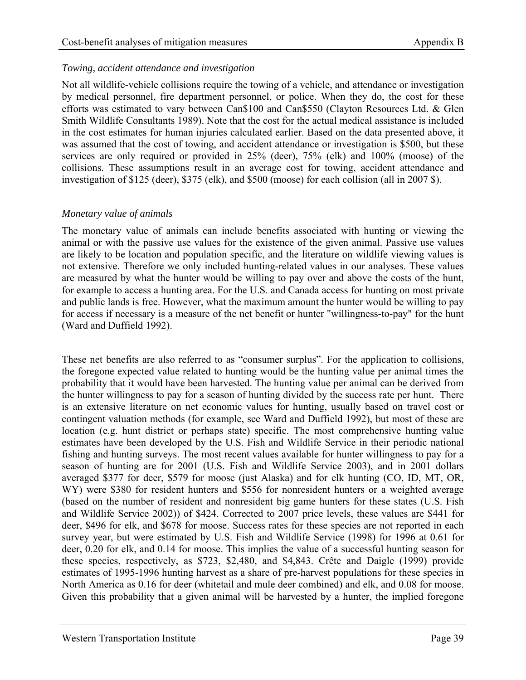#### *Towing, accident attendance and investigation*

Not all wildlife-vehicle collisions require the towing of a vehicle, and attendance or investigation by medical personnel, fire department personnel, or police. When they do, the cost for these efforts was estimated to vary between Can\$100 and Can\$550 (Clayton Resources Ltd. & Glen Smith Wildlife Consultants 1989). Note that the cost for the actual medical assistance is included in the cost estimates for human injuries calculated earlier. Based on the data presented above, it was assumed that the cost of towing, and accident attendance or investigation is \$500, but these services are only required or provided in 25% (deer), 75% (elk) and 100% (moose) of the collisions. These assumptions result in an average cost for towing, accident attendance and investigation of \$125 (deer), \$375 (elk), and \$500 (moose) for each collision (all in 2007 \$).

#### *Monetary value of animals*

The monetary value of animals can include benefits associated with hunting or viewing the animal or with the passive use values for the existence of the given animal. Passive use values are likely to be location and population specific, and the literature on wildlife viewing values is not extensive. Therefore we only included hunting-related values in our analyses. These values are measured by what the hunter would be willing to pay over and above the costs of the hunt, for example to access a hunting area. For the U.S. and Canada access for hunting on most private and public lands is free. However, what the maximum amount the hunter would be willing to pay for access if necessary is a measure of the net benefit or hunter "willingness-to-pay" for the hunt (Ward and Duffield 1992).

These net benefits are also referred to as "consumer surplus". For the application to collisions, the foregone expected value related to hunting would be the hunting value per animal times the probability that it would have been harvested. The hunting value per animal can be derived from the hunter willingness to pay for a season of hunting divided by the success rate per hunt. There is an extensive literature on net economic values for hunting, usually based on travel cost or contingent valuation methods (for example, see Ward and Duffield 1992), but most of these are location (e.g. hunt district or perhaps state) specific. The most comprehensive hunting value estimates have been developed by the U.S. Fish and Wildlife Service in their periodic national fishing and hunting surveys. The most recent values available for hunter willingness to pay for a season of hunting are for 2001 (U.S. Fish and Wildlife Service 2003), and in 2001 dollars averaged \$377 for deer, \$579 for moose (just Alaska) and for elk hunting (CO, ID, MT, OR, WY) were \$380 for resident hunters and \$556 for nonresident hunters or a weighted average (based on the number of resident and nonresident big game hunters for these states (U.S. Fish and Wildlife Service 2002)) of \$424. Corrected to 2007 price levels, these values are \$441 for deer, \$496 for elk, and \$678 for moose. Success rates for these species are not reported in each survey year, but were estimated by U.S. Fish and Wildlife Service (1998) for 1996 at 0.61 for deer, 0.20 for elk, and 0.14 for moose. This implies the value of a successful hunting season for these species, respectively, as \$723, \$2,480, and \$4,843. Crête and Daigle (1999) provide estimates of 1995-1996 hunting harvest as a share of pre-harvest populations for these species in North America as 0.16 for deer (whitetail and mule deer combined) and elk, and 0.08 for moose. Given this probability that a given animal will be harvested by a hunter, the implied foregone